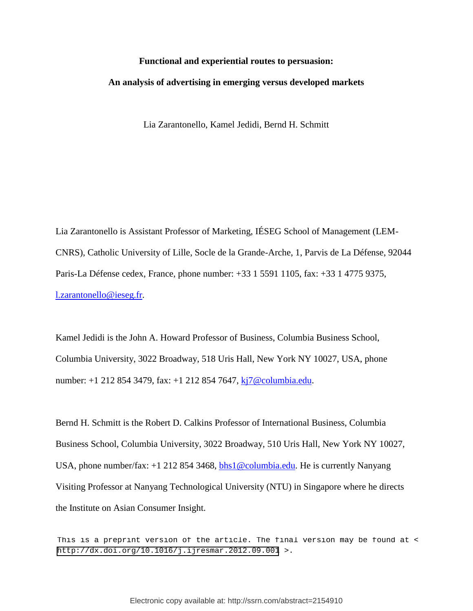# **Functional and experiential routes to persuasion: An analysis of advertising in emerging versus developed markets**

Lia Zarantonello, Kamel Jedidi, Bernd H. Schmitt

Lia Zarantonello is Assistant Professor of Marketing, IÉSEG School of Management (LEM-CNRS), Catholic University of Lille, Socle de la Grande-Arche, 1, Parvis de La Défense, 92044 Paris-La Défense cedex, France, phone number: +33 1 5591 1105, fax: +33 1 4775 9375, [l.zarantonello@ieseg.fr.](mailto:l.zarantonello@ieseg.fr)

Kamel Jedidi is the John A. Howard Professor of Business, Columbia Business School, Columbia University, 3022 Broadway, 518 Uris Hall, New York NY 10027, USA, phone number: +1 212 854 3479, fax: +1 212 854 7647, [kj7@columbia.edu.](mailto:kj7@columbia.edu)

Bernd H. Schmitt is the Robert D. Calkins Professor of International Business, Columbia Business School, Columbia University, 3022 Broadway, 510 Uris Hall, New York NY 10027, USA, phone number/fax: +1 212 854 3468, [bhs1@columbia.edu.](mailto:bhs1@columbia.edu) He is currently Nanyang Visiting Professor at Nanyang Technological University (NTU) in Singapore where he directs the Institute on Asian Consumer Insight.

This is a preprint version of the article. The final version may be found at < <http://dx.doi.org/10.1016/j.ijresmar.2012.09.001> >.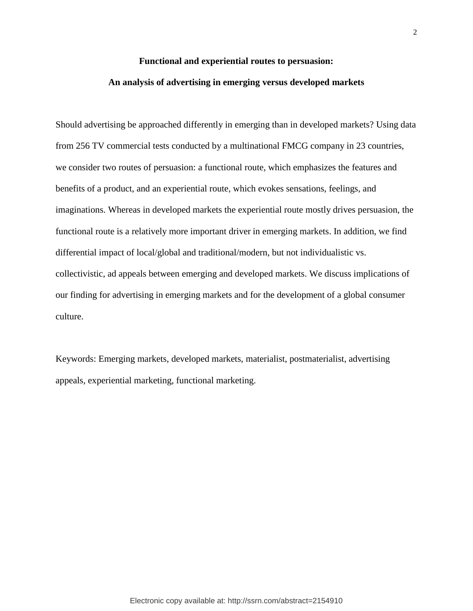#### **Functional and experiential routes to persuasion:**

#### **An analysis of advertising in emerging versus developed markets**

Should advertising be approached differently in emerging than in developed markets? Using data from 256 TV commercial tests conducted by a multinational FMCG company in 23 countries, we consider two routes of persuasion: a functional route, which emphasizes the features and benefits of a product, and an experiential route, which evokes sensations, feelings, and imaginations. Whereas in developed markets the experiential route mostly drives persuasion, the functional route is a relatively more important driver in emerging markets. In addition, we find differential impact of local/global and traditional/modern, but not individualistic vs. collectivistic, ad appeals between emerging and developed markets. We discuss implications of our finding for advertising in emerging markets and for the development of a global consumer culture.

Keywords: Emerging markets, developed markets, materialist, postmaterialist, advertising appeals, experiential marketing, functional marketing.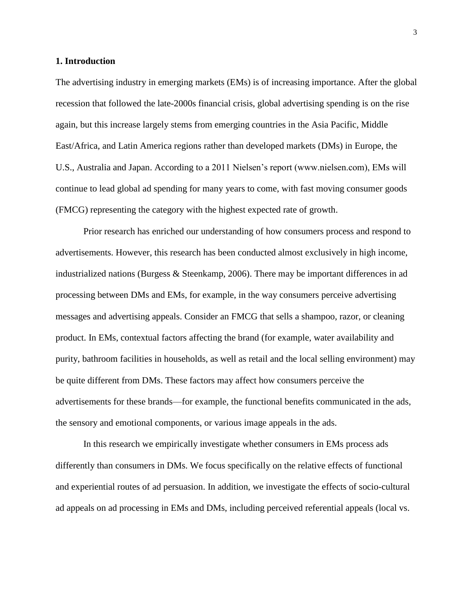#### **1. Introduction**

The advertising industry in emerging markets (EMs) is of increasing importance. After the global recession that followed the late-2000s financial crisis, global advertising spending is on the rise again, but this increase largely stems from emerging countries in the Asia Pacific, Middle East/Africa, and Latin America regions rather than developed markets (DMs) in Europe, the U.S., Australia and Japan. According to a 2011 Nielsen's report (www.nielsen.com), EMs will continue to lead global ad spending for many years to come, with fast moving consumer goods (FMCG) representing the category with the highest expected rate of growth.

Prior research has enriched our understanding of how consumers process and respond to advertisements. However, this research has been conducted almost exclusively in high income, industrialized nations (Burgess & Steenkamp, 2006). There may be important differences in ad processing between DMs and EMs, for example, in the way consumers perceive advertising messages and advertising appeals. Consider an FMCG that sells a shampoo, razor, or cleaning product. In EMs, contextual factors affecting the brand (for example, water availability and purity, bathroom facilities in households, as well as retail and the local selling environment) may be quite different from DMs. These factors may affect how consumers perceive the advertisements for these brands—for example, the functional benefits communicated in the ads, the sensory and emotional components, or various image appeals in the ads.

In this research we empirically investigate whether consumers in EMs process ads differently than consumers in DMs. We focus specifically on the relative effects of functional and experiential routes of ad persuasion. In addition, we investigate the effects of socio-cultural ad appeals on ad processing in EMs and DMs, including perceived referential appeals (local vs.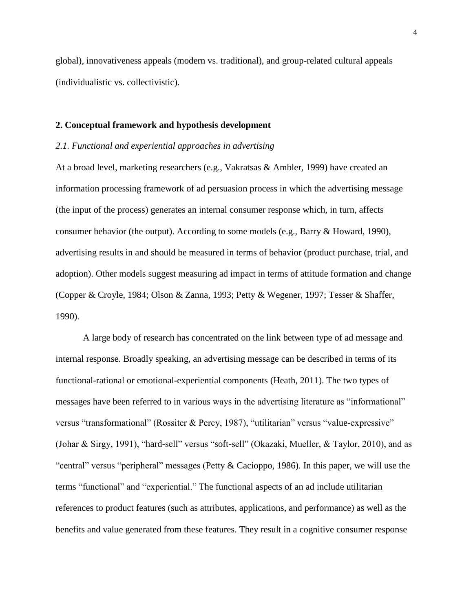global), innovativeness appeals (modern vs. traditional), and group-related cultural appeals (individualistic vs. collectivistic).

#### **2. Conceptual framework and hypothesis development**

#### *2.1. Functional and experiential approaches in advertising*

At a broad level, marketing researchers (e.g., Vakratsas & Ambler, 1999) have created an information processing framework of ad persuasion process in which the advertising message (the input of the process) generates an internal consumer response which, in turn, affects consumer behavior (the output). According to some models (e.g., Barry & Howard, 1990), advertising results in and should be measured in terms of behavior (product purchase, trial, and adoption). Other models suggest measuring ad impact in terms of attitude formation and change (Copper & Croyle, 1984; Olson & Zanna, 1993; Petty & Wegener, 1997; Tesser & Shaffer, 1990).

A large body of research has concentrated on the link between type of ad message and internal response. Broadly speaking, an advertising message can be described in terms of its functional-rational or emotional-experiential components (Heath, 2011). The two types of messages have been referred to in various ways in the advertising literature as "informational" versus "transformational" (Rossiter & Percy, 1987), "utilitarian" versus "value-expressive" (Johar & Sirgy, 1991), "hard-sell" versus "soft-sell" (Okazaki, Mueller, & Taylor, 2010), and as "central" versus "peripheral" messages (Petty & Cacioppo, 1986). In this paper, we will use the terms "functional" and "experiential." The functional aspects of an ad include utilitarian references to product features (such as attributes, applications, and performance) as well as the benefits and value generated from these features. They result in a cognitive consumer response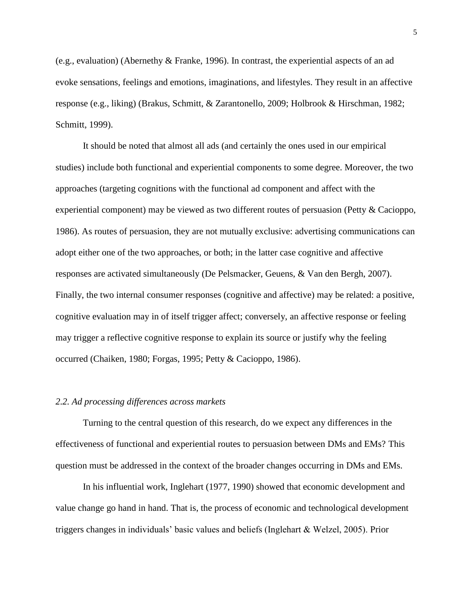(e.g., evaluation) (Abernethy & Franke, 1996). In contrast, the experiential aspects of an ad evoke sensations, feelings and emotions, imaginations, and lifestyles. They result in an affective response (e.g., liking) (Brakus, Schmitt, & Zarantonello, 2009; Holbrook & Hirschman, 1982; Schmitt, 1999).

It should be noted that almost all ads (and certainly the ones used in our empirical studies) include both functional and experiential components to some degree. Moreover, the two approaches (targeting cognitions with the functional ad component and affect with the experiential component) may be viewed as two different routes of persuasion (Petty & Cacioppo, 1986). As routes of persuasion, they are not mutually exclusive: advertising communications can adopt either one of the two approaches, or both; in the latter case cognitive and affective responses are activated simultaneously (De Pelsmacker, Geuens, & Van den Bergh, 2007). Finally, the two internal consumer responses (cognitive and affective) may be related: a positive, cognitive evaluation may in of itself trigger affect; conversely, an affective response or feeling may trigger a reflective cognitive response to explain its source or justify why the feeling occurred (Chaiken, 1980; Forgas, 1995; Petty & Cacioppo, 1986).

#### *2.2. Ad processing differences across markets*

Turning to the central question of this research, do we expect any differences in the effectiveness of functional and experiential routes to persuasion between DMs and EMs? This question must be addressed in the context of the broader changes occurring in DMs and EMs.

In his influential work, Inglehart (1977, 1990) showed that economic development and value change go hand in hand. That is, the process of economic and technological development triggers changes in individuals' basic values and beliefs (Inglehart & Welzel, 2005). Prior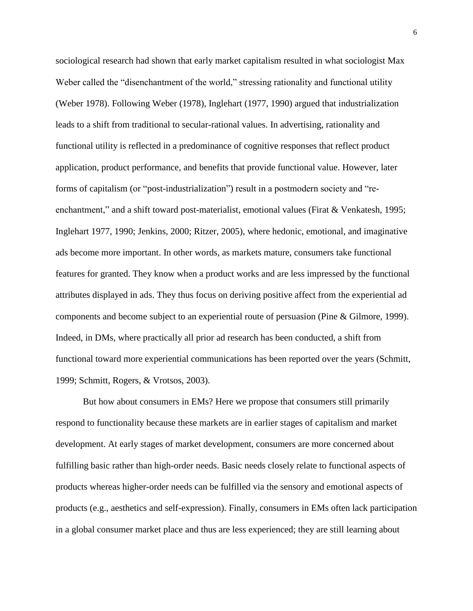sociological research had shown that early market capitalism resulted in what sociologist Max Weber called the "disenchantment of the world," stressing rationality and functional utility (Weber 1978). Following Weber (1978), Inglehart (1977, 1990) argued that industrialization leads to a shift from traditional to secular-rational values. In advertising, rationality and functional utility is reflected in a predominance of cognitive responses that reflect product application, product performance, and benefits that provide functional value. However, later forms of capitalism (or "post-industrialization") result in a postmodern society and "reenchantment," and a shift toward post-materialist, emotional values (Firat & Venkatesh, 1995; Inglehart 1977, 1990; Jenkins, 2000; Ritzer, 2005), where hedonic, emotional, and imaginative ads become more important. In other words, as markets mature, consumers take functional features for granted. They know when a product works and are less impressed by the functional attributes displayed in ads. They thus focus on deriving positive affect from the experiential ad components and become subject to an experiential route of persuasion (Pine & Gilmore, 1999). Indeed, in DMs, where practically all prior ad research has been conducted, a shift from functional toward more experiential communications has been reported over the years (Schmitt, 1999; Schmitt, Rogers, & Vrotsos, 2003).

But how about consumers in EMs? Here we propose that consumers still primarily respond to functionality because these markets are in earlier stages of capitalism and market development. At early stages of market development, consumers are more concerned about fulfilling basic rather than high-order needs. Basic needs closely relate to functional aspects of products whereas higher-order needs can be fulfilled via the sensory and emotional aspects of products (e.g., aesthetics and self-expression). Finally, consumers in EMs often lack participation in a global consumer market place and thus are less experienced; they are still learning about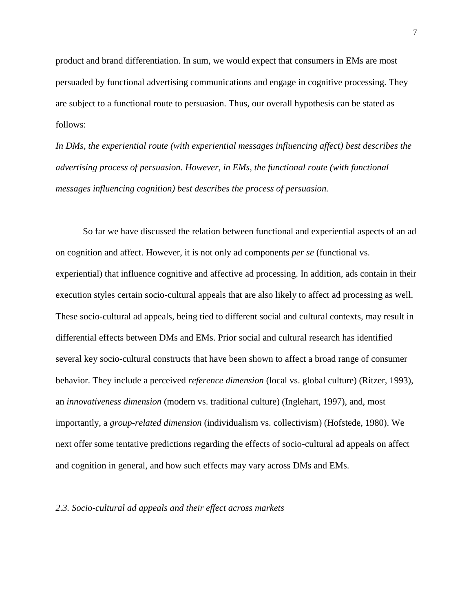product and brand differentiation. In sum, we would expect that consumers in EMs are most persuaded by functional advertising communications and engage in cognitive processing. They are subject to a functional route to persuasion. Thus, our overall hypothesis can be stated as follows:

*In DMs, the experiential route (with experiential messages influencing affect) best describes the advertising process of persuasion. However, in EMs, the functional route (with functional messages influencing cognition) best describes the process of persuasion.*

So far we have discussed the relation between functional and experiential aspects of an ad on cognition and affect. However, it is not only ad components *per se* (functional vs. experiential) that influence cognitive and affective ad processing. In addition, ads contain in their execution styles certain socio-cultural appeals that are also likely to affect ad processing as well. These socio-cultural ad appeals, being tied to different social and cultural contexts, may result in differential effects between DMs and EMs. Prior social and cultural research has identified several key socio-cultural constructs that have been shown to affect a broad range of consumer behavior. They include a perceived *reference dimension* (local vs. global culture) (Ritzer, 1993), an *innovativeness dimension* (modern vs. traditional culture) (Inglehart, 1997), and, most importantly, a *group-related dimension* (individualism vs. collectivism) (Hofstede, 1980). We next offer some tentative predictions regarding the effects of socio-cultural ad appeals on affect and cognition in general, and how such effects may vary across DMs and EMs.

#### *2.3. Socio-cultural ad appeals and their effect across markets*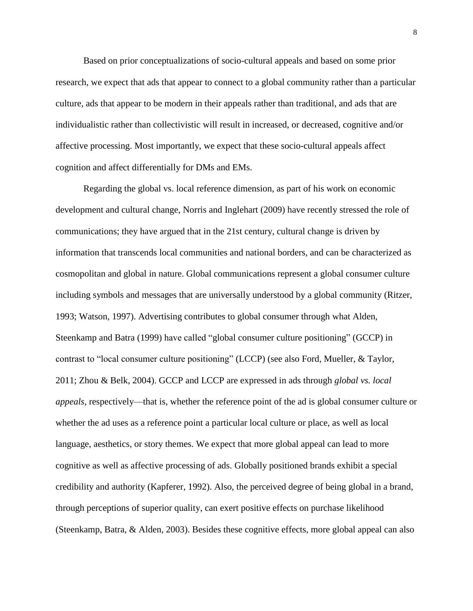Based on prior conceptualizations of socio-cultural appeals and based on some prior research, we expect that ads that appear to connect to a global community rather than a particular culture, ads that appear to be modern in their appeals rather than traditional, and ads that are individualistic rather than collectivistic will result in increased, or decreased, cognitive and/or affective processing. Most importantly, we expect that these socio-cultural appeals affect cognition and affect differentially for DMs and EMs.

Regarding the global vs. local reference dimension, as part of his work on economic development and cultural change, Norris and Inglehart (2009) have recently stressed the role of communications; they have argued that in the 21st century, cultural change is driven by information that transcends local communities and national borders, and can be characterized as cosmopolitan and global in nature. Global communications represent a global consumer culture including symbols and messages that are universally understood by a global community (Ritzer, 1993; Watson, 1997). Advertising contributes to global consumer through what Alden, Steenkamp and Batra (1999) have called "global consumer culture positioning" (GCCP) in contrast to "local consumer culture positioning" (LCCP) (see also Ford, Mueller, & Taylor, 2011; Zhou & Belk, 2004). GCCP and LCCP are expressed in ads through *global vs. local appeals*, respectively—that is, whether the reference point of the ad is global consumer culture or whether the ad uses as a reference point a particular local culture or place, as well as local language, aesthetics, or story themes. We expect that more global appeal can lead to more cognitive as well as affective processing of ads. Globally positioned brands exhibit a special credibility and authority (Kapferer, 1992). Also, the perceived degree of being global in a brand, through perceptions of superior quality, can exert positive effects on purchase likelihood (Steenkamp, Batra, & Alden, 2003). Besides these cognitive effects, more global appeal can also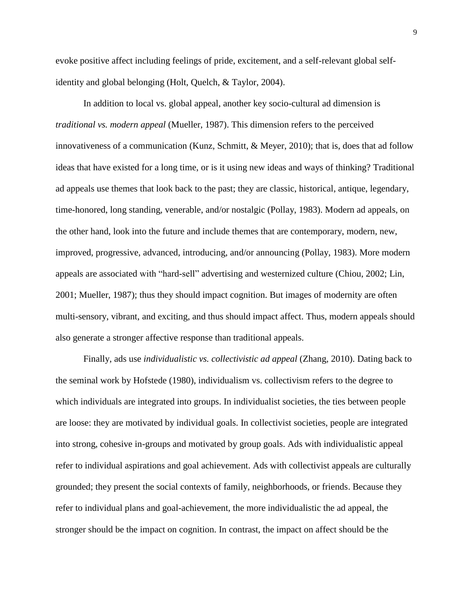evoke positive affect including feelings of pride, excitement, and a self-relevant global selfidentity and global belonging (Holt, Quelch, & Taylor, 2004).

In addition to local vs. global appeal, another key socio-cultural ad dimension is *traditional vs. modern appeal* (Mueller, 1987). This dimension refers to the perceived innovativeness of a communication (Kunz, Schmitt, & Meyer, 2010); that is, does that ad follow ideas that have existed for a long time, or is it using new ideas and ways of thinking? Traditional ad appeals use themes that look back to the past; they are classic, historical, antique, legendary, time-honored, long standing, venerable, and/or nostalgic (Pollay, 1983). Modern ad appeals, on the other hand, look into the future and include themes that are contemporary, modern, new, improved, progressive, advanced, introducing, and/or announcing (Pollay, 1983). More modern appeals are associated with "hard-sell" advertising and westernized culture (Chiou, 2002; Lin, 2001; Mueller, 1987); thus they should impact cognition. But images of modernity are often multi-sensory, vibrant, and exciting, and thus should impact affect. Thus, modern appeals should also generate a stronger affective response than traditional appeals.

Finally, ads use *individualistic vs. collectivistic ad appeal* (Zhang, 2010). Dating back to the seminal work by Hofstede (1980), individualism vs. collectivism refers to the degree to which individuals are integrated into groups. In individualist societies, the ties between people are loose: they are motivated by individual goals. In collectivist societies, people are integrated into strong, cohesive in-groups and motivated by group goals. Ads with individualistic appeal refer to individual aspirations and goal achievement. Ads with collectivist appeals are culturally grounded; they present the social contexts of family, neighborhoods, or friends. Because they refer to individual plans and goal-achievement, the more individualistic the ad appeal, the stronger should be the impact on cognition. In contrast, the impact on affect should be the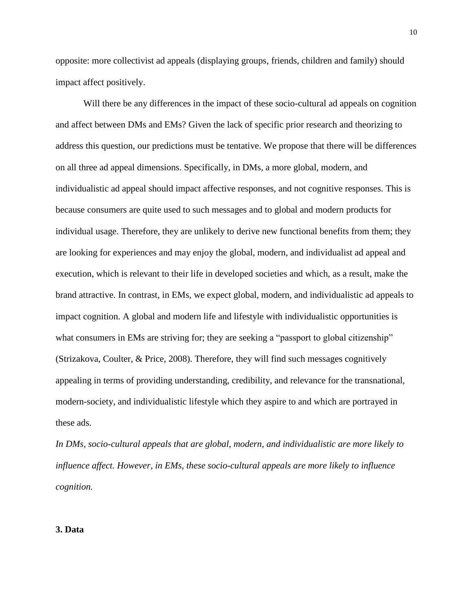opposite: more collectivist ad appeals (displaying groups, friends, children and family) should impact affect positively.

Will there be any differences in the impact of these socio-cultural ad appeals on cognition and affect between DMs and EMs? Given the lack of specific prior research and theorizing to address this question, our predictions must be tentative. We propose that there will be differences on all three ad appeal dimensions. Specifically, in DMs, a more global, modern, and individualistic ad appeal should impact affective responses, and not cognitive responses. This is because consumers are quite used to such messages and to global and modern products for individual usage. Therefore, they are unlikely to derive new functional benefits from them; they are looking for experiences and may enjoy the global, modern, and individualist ad appeal and execution, which is relevant to their life in developed societies and which, as a result, make the brand attractive. In contrast, in EMs, we expect global, modern, and individualistic ad appeals to impact cognition. A global and modern life and lifestyle with individualistic opportunities is what consumers in EMs are striving for; they are seeking a "passport to global citizenship" (Strizakova, Coulter, & Price, 2008). Therefore, they will find such messages cognitively appealing in terms of providing understanding, credibility, and relevance for the transnational, modern-society, and individualistic lifestyle which they aspire to and which are portrayed in these ads.

*In DMs, socio-cultural appeals that are global, modern, and individualistic are more likely to influence affect. However, in EMs, these socio-cultural appeals are more likely to influence cognition.*

#### **3. Data**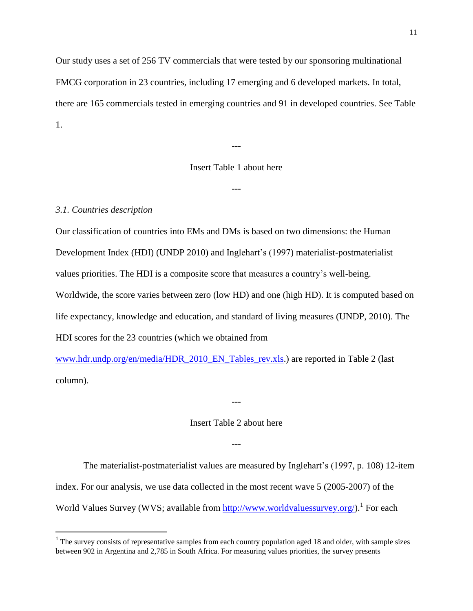Our study uses a set of 256 TV commercials that were tested by our sponsoring multinational FMCG corporation in 23 countries, including 17 emerging and 6 developed markets. In total, there are 165 commercials tested in emerging countries and 91 in developed countries. See Table 1.

Insert Table 1 about here

---

---

# *3.1. Countries description*

 $\overline{\phantom{a}}$ 

Our classification of countries into EMs and DMs is based on two dimensions: the Human Development Index (HDI) (UNDP 2010) and Inglehart's (1997) materialist-postmaterialist values priorities. The HDI is a composite score that measures a country's well-being. Worldwide, the score varies between zero (low HD) and one (high HD). It is computed based on life expectancy, knowledge and education, and standard of living measures (UNDP, 2010). The HDI scores for the 23 countries (which we obtained from

[www.hdr.undp.org/en/media/HDR\\_2010\\_EN\\_Tables\\_rev.xls.](http://www.hdr.undp.org/en/media/HDR_2010_EN_Tables_rev.xls)) are reported in Table 2 (last column).

#### Insert Table 2 about here

---

---

The materialist-postmaterialist values are measured by Inglehart's (1997, p. 108) 12-item index. For our analysis, we use data collected in the most recent wave 5 (2005-2007) of the World Values Survey (WVS; available from [http://www.worldvaluessurvey.org/\)](http://www.worldvaluessurvey.org/).<sup>1</sup> For each

 $1$  The survey consists of representative samples from each country population aged 18 and older, with sample sizes between 902 in Argentina and 2,785 in South Africa. For measuring values priorities, the survey presents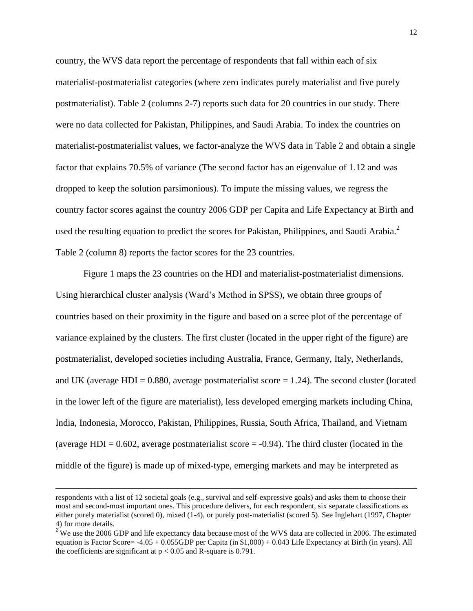country, the WVS data report the percentage of respondents that fall within each of six materialist-postmaterialist categories (where zero indicates purely materialist and five purely postmaterialist). Table 2 (columns 2-7) reports such data for 20 countries in our study. There were no data collected for Pakistan, Philippines, and Saudi Arabia. To index the countries on materialist-postmaterialist values, we factor-analyze the WVS data in Table 2 and obtain a single factor that explains 70.5% of variance (The second factor has an eigenvalue of 1.12 and was dropped to keep the solution parsimonious). To impute the missing values, we regress the country factor scores against the country 2006 GDP per Capita and Life Expectancy at Birth and used the resulting equation to predict the scores for Pakistan, Philippines, and Saudi Arabia. $^2$ Table 2 (column 8) reports the factor scores for the 23 countries.

Figure 1 maps the 23 countries on the HDI and materialist-postmaterialist dimensions. Using hierarchical cluster analysis (Ward's Method in SPSS), we obtain three groups of countries based on their proximity in the figure and based on a scree plot of the percentage of variance explained by the clusters. The first cluster (located in the upper right of the figure) are postmaterialist, developed societies including Australia, France, Germany, Italy, Netherlands, and UK (average HDI =  $0.880$ , average postmaterialist score = 1.24). The second cluster (located in the lower left of the figure are materialist), less developed emerging markets including China, India, Indonesia, Morocco, Pakistan, Philippines, Russia, South Africa, Thailand, and Vietnam (average HDI  $= 0.602$ , average postmaterialist score  $= -0.94$ ). The third cluster (located in the middle of the figure) is made up of mixed-type, emerging markets and may be interpreted as

 $\overline{\phantom{a}}$ 

respondents with a list of 12 societal goals (e.g., survival and self-expressive goals) and asks them to choose their most and second-most important ones. This procedure delivers, for each respondent, six separate classifications as either purely materialist (scored 0), mixed (1-4), or purely post-materialist (scored 5). See Inglehart (1997, Chapter 4) for more details.

<sup>&</sup>lt;sup>2</sup> We use the 2006 GDP and life expectancy data because most of the WVS data are collected in 2006. The estimated equation is Factor Score= -4.05 + 0.055GDP per Capita (in \$1,000) + 0.043 Life Expectancy at Birth (in years). All the coefficients are significant at  $p < 0.05$  and R-square is 0.791.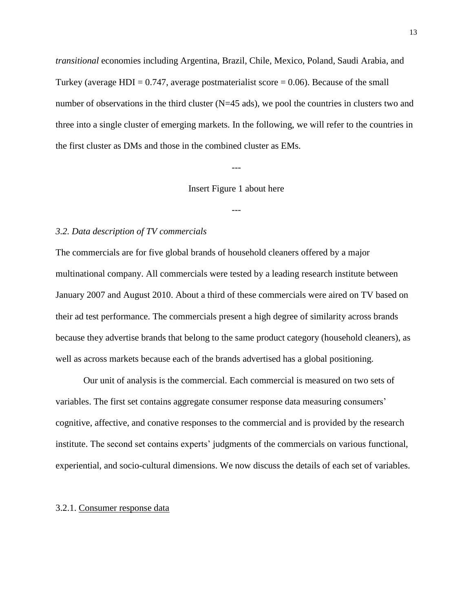*transitional* economies including Argentina, Brazil, Chile, Mexico, Poland, Saudi Arabia, and Turkey (average HDI =  $0.747$ , average postmaterialist score =  $0.06$ ). Because of the small number of observations in the third cluster (N=45 ads), we pool the countries in clusters two and three into a single cluster of emerging markets. In the following, we will refer to the countries in the first cluster as DMs and those in the combined cluster as EMs.

---

#### Insert Figure 1 about here

---

#### *3.2. Data description of TV commercials*

The commercials are for five global brands of household cleaners offered by a major multinational company. All commercials were tested by a leading research institute between January 2007 and August 2010. About a third of these commercials were aired on TV based on their ad test performance. The commercials present a high degree of similarity across brands because they advertise brands that belong to the same product category (household cleaners), as well as across markets because each of the brands advertised has a global positioning.

Our unit of analysis is the commercial. Each commercial is measured on two sets of variables. The first set contains aggregate consumer response data measuring consumers' cognitive, affective, and conative responses to the commercial and is provided by the research institute. The second set contains experts' judgments of the commercials on various functional, experiential, and socio-cultural dimensions. We now discuss the details of each set of variables.

#### 3.2.1. Consumer response data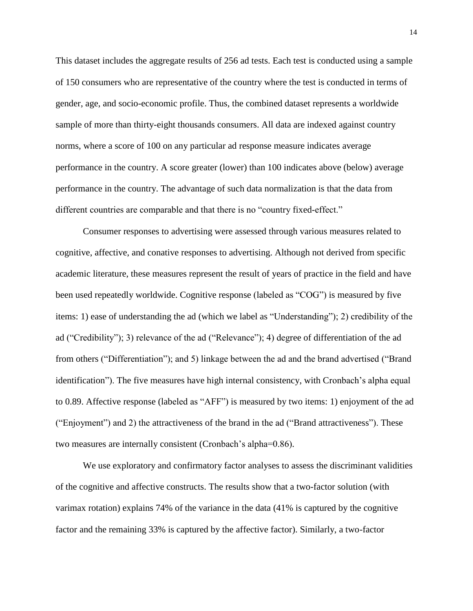This dataset includes the aggregate results of 256 ad tests. Each test is conducted using a sample of 150 consumers who are representative of the country where the test is conducted in terms of gender, age, and socio-economic profile. Thus, the combined dataset represents a worldwide sample of more than thirty-eight thousands consumers. All data are indexed against country norms, where a score of 100 on any particular ad response measure indicates average performance in the country. A score greater (lower) than 100 indicates above (below) average performance in the country. The advantage of such data normalization is that the data from different countries are comparable and that there is no "country fixed-effect."

Consumer responses to advertising were assessed through various measures related to cognitive, affective, and conative responses to advertising. Although not derived from specific academic literature, these measures represent the result of years of practice in the field and have been used repeatedly worldwide. Cognitive response (labeled as "COG") is measured by five items: 1) ease of understanding the ad (which we label as "Understanding"); 2) credibility of the ad ("Credibility"); 3) relevance of the ad ("Relevance"); 4) degree of differentiation of the ad from others ("Differentiation"); and 5) linkage between the ad and the brand advertised ("Brand identification"). The five measures have high internal consistency, with Cronbach's alpha equal to 0.89. Affective response (labeled as "AFF") is measured by two items: 1) enjoyment of the ad ("Enjoyment") and 2) the attractiveness of the brand in the ad ("Brand attractiveness"). These two measures are internally consistent (Cronbach's alpha=0.86).

We use exploratory and confirmatory factor analyses to assess the discriminant validities of the cognitive and affective constructs. The results show that a two-factor solution (with varimax rotation) explains 74% of the variance in the data (41% is captured by the cognitive factor and the remaining 33% is captured by the affective factor). Similarly, a two-factor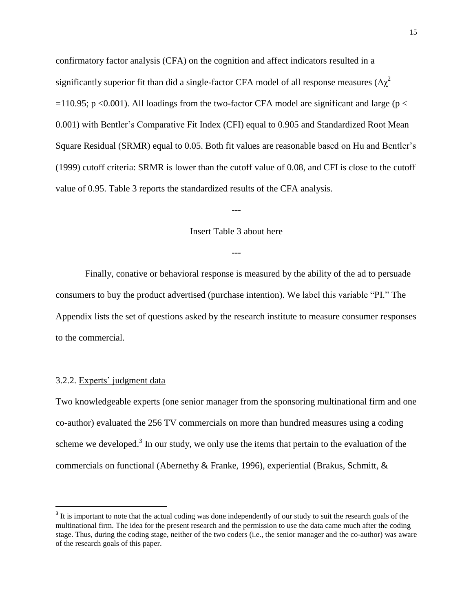confirmatory factor analysis (CFA) on the cognition and affect indicators resulted in a significantly superior fit than did a single-factor CFA model of all response measures  $(\Delta \chi^2)$  $=110.95$ ; p <0.001). All loadings from the two-factor CFA model are significant and large (p < 0.001) with Bentler's Comparative Fit Index (CFI) equal to 0.905 and Standardized Root Mean Square Residual (SRMR) equal to 0.05. Both fit values are reasonable based on Hu and Bentler's (1999) cutoff criteria: SRMR is lower than the cutoff value of 0.08, and CFI is close to the cutoff value of 0.95. Table 3 reports the standardized results of the CFA analysis.

#### Insert Table 3 about here

---

---

Finally, conative or behavioral response is measured by the ability of the ad to persuade consumers to buy the product advertised (purchase intention). We label this variable "PI." The Appendix lists the set of questions asked by the research institute to measure consumer responses to the commercial.

### 3.2.2. Experts' judgment data

 $\overline{\phantom{a}}$ 

Two knowledgeable experts (one senior manager from the sponsoring multinational firm and one co-author) evaluated the 256 TV commercials on more than hundred measures using a coding scheme we developed.<sup>3</sup> In our study, we only use the items that pertain to the evaluation of the commercials on functional (Abernethy & Franke, 1996), experiential (Brakus, Schmitt, &

 $3$  It is important to note that the actual coding was done independently of our study to suit the research goals of the multinational firm. The idea for the present research and the permission to use the data came much after the coding stage. Thus, during the coding stage, neither of the two coders (i.e., the senior manager and the co-author) was aware of the research goals of this paper.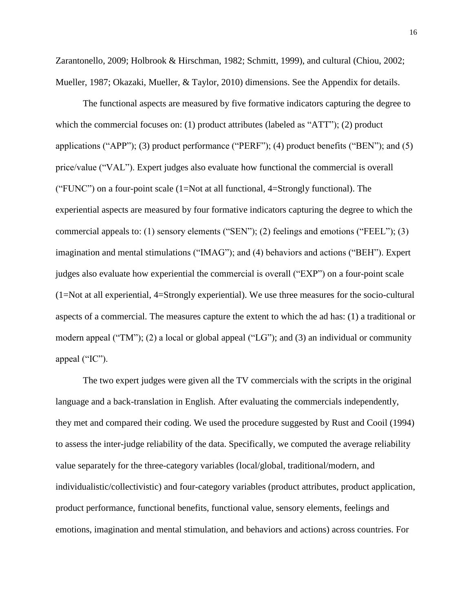Zarantonello, 2009; Holbrook & Hirschman, 1982; Schmitt, 1999), and cultural (Chiou, 2002; Mueller, 1987; Okazaki, Mueller, & Taylor, 2010) dimensions. See the Appendix for details.

The functional aspects are measured by five formative indicators capturing the degree to which the commercial focuses on: (1) product attributes (labeled as "ATT"); (2) product applications ("APP"); (3) product performance ("PERF"); (4) product benefits ("BEN"); and (5) price/value ("VAL"). Expert judges also evaluate how functional the commercial is overall ("FUNC") on a four-point scale (1=Not at all functional, 4=Strongly functional). The experiential aspects are measured by four formative indicators capturing the degree to which the commercial appeals to: (1) sensory elements ("SEN"); (2) feelings and emotions ("FEEL"); (3) imagination and mental stimulations ("IMAG"); and (4) behaviors and actions ("BEH"). Expert judges also evaluate how experiential the commercial is overall ("EXP") on a four-point scale (1=Not at all experiential, 4=Strongly experiential). We use three measures for the socio-cultural aspects of a commercial. The measures capture the extent to which the ad has: (1) a traditional or modern appeal ("TM"); (2) a local or global appeal ("LG"); and (3) an individual or community appeal ("IC").

The two expert judges were given all the TV commercials with the scripts in the original language and a back-translation in English. After evaluating the commercials independently, they met and compared their coding. We used the procedure suggested by Rust and Cooil (1994) to assess the inter-judge reliability of the data. Specifically, we computed the average reliability value separately for the three-category variables (local/global, traditional/modern, and individualistic/collectivistic) and four-category variables (product attributes, product application, product performance, functional benefits, functional value, sensory elements, feelings and emotions, imagination and mental stimulation, and behaviors and actions) across countries. For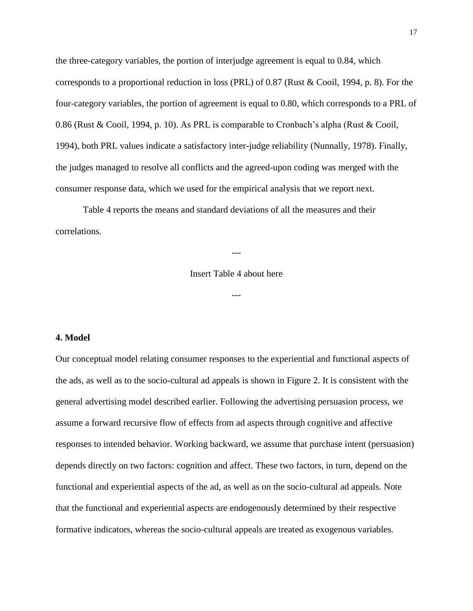the three-category variables, the portion of interjudge agreement is equal to 0.84, which corresponds to a proportional reduction in loss (PRL) of 0.87 (Rust & Cooil, 1994, p. 8). For the four-category variables, the portion of agreement is equal to 0.80, which corresponds to a PRL of 0.86 (Rust & Cooil, 1994, p. 10). As PRL is comparable to Cronbach's alpha (Rust & Cooil, 1994), both PRL values indicate a satisfactory inter-judge reliability (Nunnally, 1978). Finally, the judges managed to resolve all conflicts and the agreed-upon coding was merged with the consumer response data, which we used for the empirical analysis that we report next.

Table 4 reports the means and standard deviations of all the measures and their correlations.

Insert Table 4 about here

---

---

#### **4. Model**

Our conceptual model relating consumer responses to the experiential and functional aspects of the ads, as well as to the socio-cultural ad appeals is shown in Figure 2. It is consistent with the general advertising model described earlier. Following the advertising persuasion process, we assume a forward recursive flow of effects from ad aspects through cognitive and affective responses to intended behavior. Working backward, we assume that purchase intent (persuasion) depends directly on two factors: cognition and affect. These two factors, in turn, depend on the functional and experiential aspects of the ad, as well as on the socio-cultural ad appeals. Note that the functional and experiential aspects are endogenously determined by their respective formative indicators, whereas the socio-cultural appeals are treated as exogenous variables.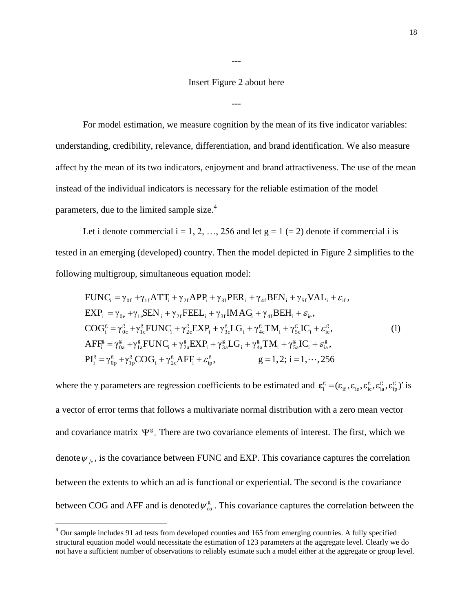#### Insert Figure 2 about here

---

---

For model estimation, we measure cognition by the mean of its five indicator variables: understanding, credibility, relevance, differentiation, and brand identification. We also measure affect by the mean of its two indicators, enjoyment and brand attractiveness. The use of the mean instead of the individual indicators is necessary for the reliable estimation of the model parameters, due to the limited sample size.<sup>4</sup>

Let i denote commercial  $i = 1, 2, ..., 256$  and let  $g = 1 (= 2)$  denote if commercial i is tested in an emerging (developed) country. Then the model depicted in Figure 2 simplifies to the following multigroup, simultaneous equation model:

$$
FUNC_{i} = \gamma_{0f} + \gamma_{1f}ATT_{i} + \gamma_{2f}APP_{i} + \gamma_{3f} PER_{i} + \gamma_{4f} BEN_{i} + \gamma_{5f} VAL_{i} + \varepsilon_{if},
$$
\n
$$
EXP_{i} = \gamma_{0e} + \gamma_{1e} SEN_{i} + \gamma_{2f} FELL_{i} + \gamma_{3f} IMAG_{i} + \gamma_{4f} BEH_{i} + \varepsilon_{ie},
$$
\n
$$
COG_{i}^{g} = \gamma_{0c}^{g} + \gamma_{1c}^{g} FUNC_{i} + \gamma_{2c}^{g} EXP_{i} + \gamma_{3c}^{g} LG_{i} + \gamma_{4c}^{g} TM_{i} + \gamma_{5c}^{g} IC_{i} + \varepsilon_{ie}^{g},
$$
\n
$$
AFF_{i}^{g} = \gamma_{0a}^{g} + \gamma_{1a}^{g} FUNC_{i} + \gamma_{2a}^{g} EXP_{i} + \gamma_{3a}^{g} LG_{i} + \gamma_{4a}^{g} TM_{i} + \gamma_{5a}^{g} IC_{i} + \varepsilon_{ia}^{g},
$$
\n
$$
PI_{i}^{g} = \gamma_{0p}^{g} + \gamma_{1p}^{g} COG_{i} + \gamma_{2c}^{g} AFF_{i} + \varepsilon_{ip}^{g},
$$
\n
$$
g = 1, 2; i = 1, ..., 256
$$
\n(1)

where the  $\gamma$  parameters are regression coefficients to be estimated and  $\epsilon_i^g = (\epsilon_{if}, \epsilon_{i_e}, \epsilon_{i_e}^g, \epsilon_{i_p}^g, \epsilon_{i_p}^g)$ ip g ia g  $_{\rm if}, \mathbf{c}_{\rm ie}, \mathbf{c}_{\rm ic}$ g  $\boldsymbol{\varepsilon}^{\rm g}_{\rm i} = (\varepsilon_{\rm if}, \varepsilon_{\rm ie}, \varepsilon^{\rm g}_{\rm ic}, \varepsilon^{\rm g}_{\rm ia}, \varepsilon^{\rm g}_{\rm ip})'$  is a vector of error terms that follows a multivariate normal distribution with a zero mean vector and covariance matrix  $\Psi^g$ . There are two covariance elements of interest. The first, which we denote  $\psi_{fe}$ , is the covariance between FUNC and EXP. This covariance captures the correlation between the extents to which an ad is functional or experiential. The second is the covariance between COG and AFF and is denoted  $\psi_{ca}^g$ . This covariance captures the correlation between the

l

<sup>&</sup>lt;sup>4</sup> Our sample includes 91 ad tests from developed counties and 165 from emerging countries. A fully specified structural equation model would necessitate the estimation of 123 parameters at the aggregate level. Clearly we do not have a sufficient number of observations to reliably estimate such a model either at the aggregate or group level.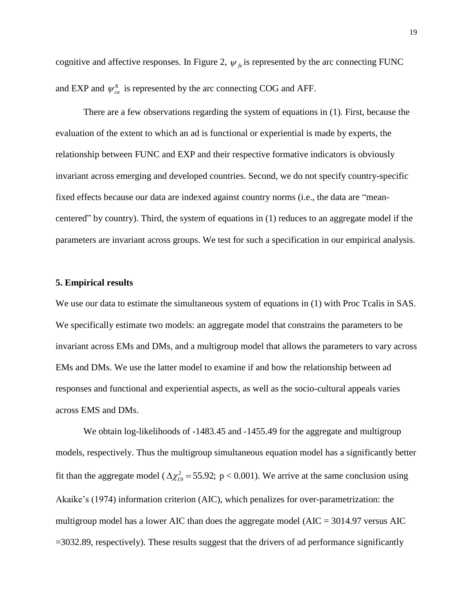cognitive and affective responses. In Figure 2,  $\psi_{fe}$  is represented by the arc connecting FUNC and EXP and  $\psi_{ca}^{\rm g}$  is represented by the arc connecting COG and AFF.

There are a few observations regarding the system of equations in (1). First, because the evaluation of the extent to which an ad is functional or experiential is made by experts, the relationship between FUNC and EXP and their respective formative indicators is obviously invariant across emerging and developed countries. Second, we do not specify country-specific fixed effects because our data are indexed against country norms (i.e., the data are "meancentered" by country). Third, the system of equations in (1) reduces to an aggregate model if the parameters are invariant across groups. We test for such a specification in our empirical analysis.

#### **5. Empirical results**

We use our data to estimate the simultaneous system of equations in (1) with Proc Tcalis in SAS. We specifically estimate two models: an aggregate model that constrains the parameters to be invariant across EMs and DMs, and a multigroup model that allows the parameters to vary across EMs and DMs. We use the latter model to examine if and how the relationship between ad responses and functional and experiential aspects, as well as the socio-cultural appeals varies across EMS and DMs.

We obtain log-likelihoods of  $-1483.45$  and  $-1455.49$  for the aggregate and multigroup models, respectively. Thus the multigroup simultaneous equation model has a significantly better fit than the aggregate model ( $\Delta \chi_{19}^2$  = 55.92; p < 0.001). We arrive at the same conclusion using Akaike's (1974) information criterion (AIC), which penalizes for over-parametrization: the multigroup model has a lower AIC than does the aggregate model ( $AIC = 3014.97$  versus AIC =3032.89, respectively). These results suggest that the drivers of ad performance significantly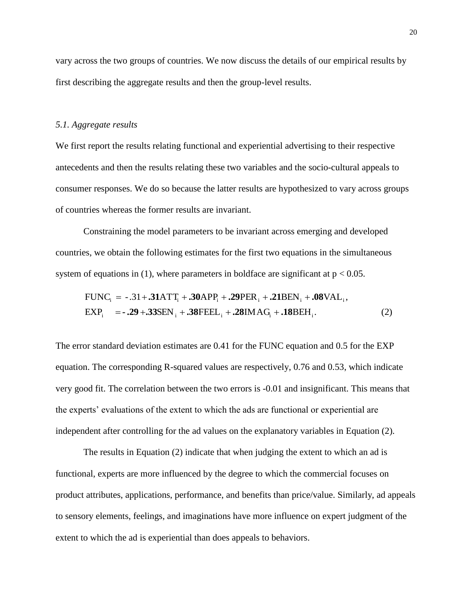vary across the two groups of countries. We now discuss the details of our empirical results by first describing the aggregate results and then the group-level results.

#### *5.1. Aggregate results*

We first report the results relating functional and experiential advertising to their respective antecedents and then the results relating these two variables and the socio-cultural appeals to consumer responses. We do so because the latter results are hypothesized to vary across groups of countries whereas the former results are invariant.

Constraining the model parameters to be invariant across emerging and developed countries, we obtain the following estimates for the first two equations in the simultaneous system of equations in (1), where parameters in boldface are significant at  $p < 0.05$ .

EXP SEN FEEL IMAG BEH . (2) FUNC -.31 ATT APP PER BEN VAL , i i i i i i i i i i i **- .29 .33 .38 .28 .18 .31 .30 .29 .21 .08** 

The error standard deviation estimates are 0.41 for the FUNC equation and 0.5 for the EXP equation. The corresponding R-squared values are respectively, 0.76 and 0.53, which indicate very good fit. The correlation between the two errors is -0.01 and insignificant. This means that the experts' evaluations of the extent to which the ads are functional or experiential are independent after controlling for the ad values on the explanatory variables in Equation (2).

The results in Equation (2) indicate that when judging the extent to which an ad is functional, experts are more influenced by the degree to which the commercial focuses on product attributes, applications, performance, and benefits than price/value. Similarly, ad appeals to sensory elements, feelings, and imaginations have more influence on expert judgment of the extent to which the ad is experiential than does appeals to behaviors.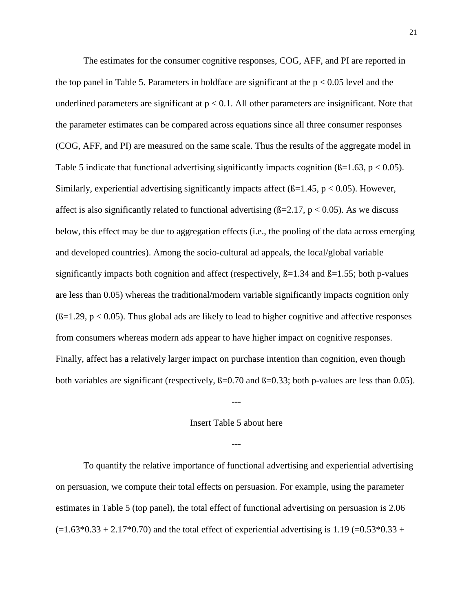The estimates for the consumer cognitive responses, COG, AFF, and PI are reported in the top panel in Table 5. Parameters in boldface are significant at the  $p < 0.05$  level and the underlined parameters are significant at  $p < 0.1$ . All other parameters are insignificant. Note that the parameter estimates can be compared across equations since all three consumer responses (COG, AFF, and PI) are measured on the same scale. Thus the results of the aggregate model in Table 5 indicate that functional advertising significantly impacts cognition ( $\beta$ =1.63, p < 0.05). Similarly, experiential advertising significantly impacts affect ( $\beta$ =1.45, p < 0.05). However, affect is also significantly related to functional advertising  $(B=2.17, p < 0.05)$ . As we discuss below, this effect may be due to aggregation effects (i.e., the pooling of the data across emerging and developed countries). Among the socio-cultural ad appeals, the local/global variable significantly impacts both cognition and affect (respectively,  $\beta$ =1.34 and  $\beta$ =1.55; both p-values are less than 0.05) whereas the traditional/modern variable significantly impacts cognition only  $(6=1.29, p < 0.05)$ . Thus global ads are likely to lead to higher cognitive and affective responses from consumers whereas modern ads appear to have higher impact on cognitive responses. Finally, affect has a relatively larger impact on purchase intention than cognition, even though both variables are significant (respectively,  $\beta = 0.70$  and  $\beta = 0.33$ ; both p-values are less than 0.05).

#### Insert Table 5 about here

---

---

To quantify the relative importance of functional advertising and experiential advertising on persuasion, we compute their total effects on persuasion. For example, using the parameter estimates in Table 5 (top panel), the total effect of functional advertising on persuasion is 2.06  $(-1.63*0.33 + 2.17*0.70)$  and the total effect of experiential advertising is 1.19 (=0.53 $*0.33 +$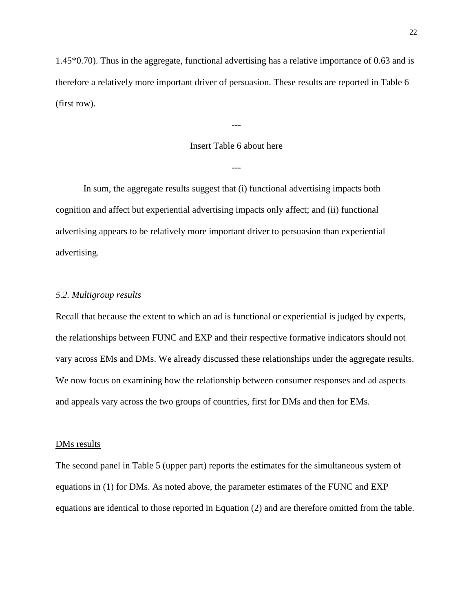1.45\*0.70). Thus in the aggregate, functional advertising has a relative importance of 0.63 and is therefore a relatively more important driver of persuasion. These results are reported in Table 6 (first row).

#### Insert Table 6 about here

---

---

In sum, the aggregate results suggest that (i) functional advertising impacts both cognition and affect but experiential advertising impacts only affect; and (ii) functional advertising appears to be relatively more important driver to persuasion than experiential advertising.

#### *5.2. Multigroup results*

Recall that because the extent to which an ad is functional or experiential is judged by experts, the relationships between FUNC and EXP and their respective formative indicators should not vary across EMs and DMs. We already discussed these relationships under the aggregate results. We now focus on examining how the relationship between consumer responses and ad aspects and appeals vary across the two groups of countries, first for DMs and then for EMs.

#### DM<sub>s</sub> results

The second panel in Table 5 (upper part) reports the estimates for the simultaneous system of equations in (1) for DMs. As noted above, the parameter estimates of the FUNC and EXP equations are identical to those reported in Equation (2) and are therefore omitted from the table.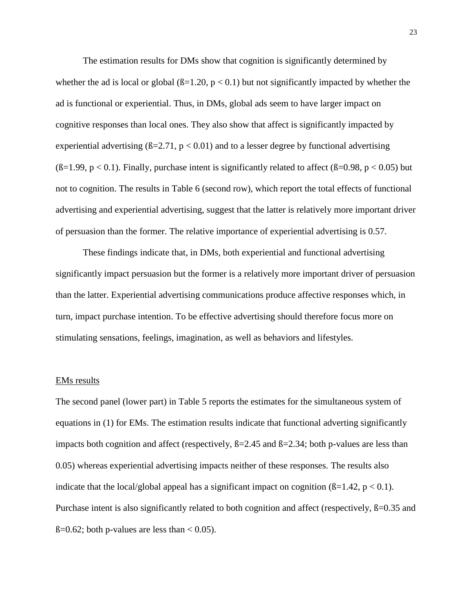The estimation results for DMs show that cognition is significantly determined by whether the ad is local or global  $(\beta=1.20, p < 0.1)$  but not significantly impacted by whether the ad is functional or experiential. Thus, in DMs, global ads seem to have larger impact on cognitive responses than local ones. They also show that affect is significantly impacted by experiential advertising  $(B=2.71, p < 0.01)$  and to a lesser degree by functional advertising  $(\beta=1.99, p < 0.1)$ . Finally, purchase intent is significantly related to affect ( $\beta=0.98, p < 0.05$ ) but not to cognition. The results in Table 6 (second row), which report the total effects of functional advertising and experiential advertising, suggest that the latter is relatively more important driver of persuasion than the former. The relative importance of experiential advertising is 0.57.

These findings indicate that, in DMs, both experiential and functional advertising significantly impact persuasion but the former is a relatively more important driver of persuasion than the latter. Experiential advertising communications produce affective responses which, in turn, impact purchase intention. To be effective advertising should therefore focus more on stimulating sensations, feelings, imagination, as well as behaviors and lifestyles.

#### EMs results

The second panel (lower part) in Table 5 reports the estimates for the simultaneous system of equations in (1) for EMs. The estimation results indicate that functional adverting significantly impacts both cognition and affect (respectively,  $\beta = 2.45$  and  $\beta = 2.34$ ; both p-values are less than 0.05) whereas experiential advertising impacts neither of these responses. The results also indicate that the local/global appeal has a significant impact on cognition  $(\beta=1.42, p < 0.1)$ . Purchase intent is also significantly related to both cognition and affect (respectively,  $\beta$ =0.35 and  $\beta$ =0.62; both p-values are less than < 0.05).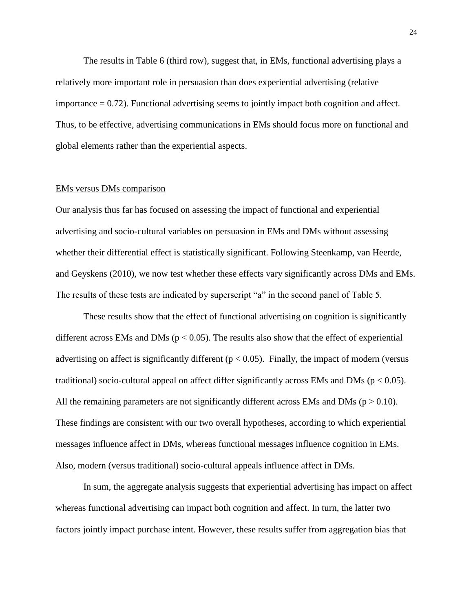The results in Table 6 (third row), suggest that, in EMs, functional advertising plays a relatively more important role in persuasion than does experiential advertising (relative importance  $= 0.72$ ). Functional advertising seems to jointly impact both cognition and affect. Thus, to be effective, advertising communications in EMs should focus more on functional and global elements rather than the experiential aspects.

# EMs versus DMs comparison

Our analysis thus far has focused on assessing the impact of functional and experiential advertising and socio-cultural variables on persuasion in EMs and DMs without assessing whether their differential effect is statistically significant. Following Steenkamp, van Heerde, and Geyskens (2010), we now test whether these effects vary significantly across DMs and EMs. The results of these tests are indicated by superscript "a" in the second panel of Table 5.

These results show that the effect of functional advertising on cognition is significantly different across EMs and DMs ( $p < 0.05$ ). The results also show that the effect of experiential advertising on affect is significantly different ( $p < 0.05$ ). Finally, the impact of modern (versus traditional) socio-cultural appeal on affect differ significantly across EMs and DMs ( $p < 0.05$ ). All the remaining parameters are not significantly different across EMs and DMs ( $p > 0.10$ ). These findings are consistent with our two overall hypotheses, according to which experiential messages influence affect in DMs, whereas functional messages influence cognition in EMs. Also, modern (versus traditional) socio-cultural appeals influence affect in DMs.

In sum, the aggregate analysis suggests that experiential advertising has impact on affect whereas functional advertising can impact both cognition and affect. In turn, the latter two factors jointly impact purchase intent. However, these results suffer from aggregation bias that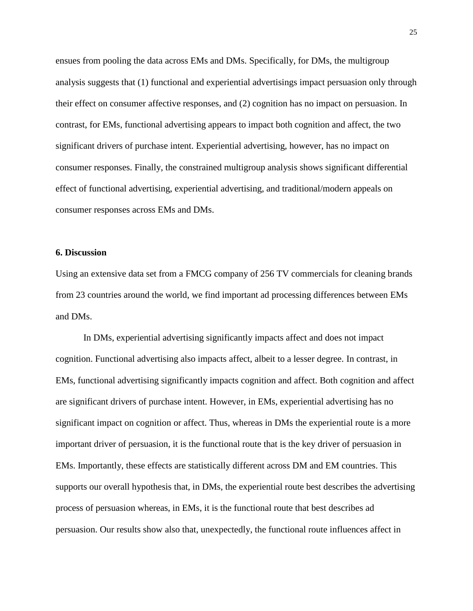ensues from pooling the data across EMs and DMs. Specifically, for DMs, the multigroup analysis suggests that (1) functional and experiential advertisings impact persuasion only through their effect on consumer affective responses, and (2) cognition has no impact on persuasion. In contrast, for EMs, functional advertising appears to impact both cognition and affect, the two significant drivers of purchase intent. Experiential advertising, however, has no impact on consumer responses. Finally, the constrained multigroup analysis shows significant differential effect of functional advertising, experiential advertising, and traditional/modern appeals on consumer responses across EMs and DMs.

#### **6. Discussion**

Using an extensive data set from a FMCG company of 256 TV commercials for cleaning brands from 23 countries around the world, we find important ad processing differences between EMs and DMs.

In DMs, experiential advertising significantly impacts affect and does not impact cognition. Functional advertising also impacts affect, albeit to a lesser degree. In contrast, in EMs, functional advertising significantly impacts cognition and affect. Both cognition and affect are significant drivers of purchase intent. However, in EMs, experiential advertising has no significant impact on cognition or affect. Thus, whereas in DMs the experiential route is a more important driver of persuasion, it is the functional route that is the key driver of persuasion in EMs. Importantly, these effects are statistically different across DM and EM countries. This supports our overall hypothesis that, in DMs, the experiential route best describes the advertising process of persuasion whereas, in EMs, it is the functional route that best describes ad persuasion. Our results show also that, unexpectedly, the functional route influences affect in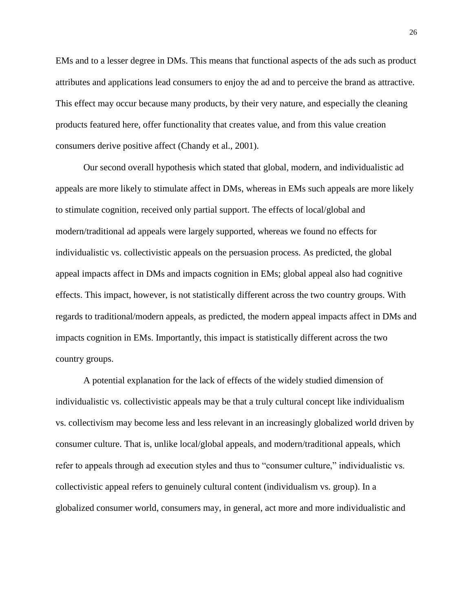EMs and to a lesser degree in DMs. This means that functional aspects of the ads such as product attributes and applications lead consumers to enjoy the ad and to perceive the brand as attractive. This effect may occur because many products, by their very nature, and especially the cleaning products featured here, offer functionality that creates value, and from this value creation consumers derive positive affect (Chandy et al., 2001).

Our second overall hypothesis which stated that global, modern, and individualistic ad appeals are more likely to stimulate affect in DMs, whereas in EMs such appeals are more likely to stimulate cognition, received only partial support. The effects of local/global and modern/traditional ad appeals were largely supported, whereas we found no effects for individualistic vs. collectivistic appeals on the persuasion process. As predicted, the global appeal impacts affect in DMs and impacts cognition in EMs; global appeal also had cognitive effects. This impact, however, is not statistically different across the two country groups. With regards to traditional/modern appeals, as predicted, the modern appeal impacts affect in DMs and impacts cognition in EMs. Importantly, this impact is statistically different across the two country groups.

A potential explanation for the lack of effects of the widely studied dimension of individualistic vs. collectivistic appeals may be that a truly cultural concept like individualism vs. collectivism may become less and less relevant in an increasingly globalized world driven by consumer culture. That is, unlike local/global appeals, and modern/traditional appeals, which refer to appeals through ad execution styles and thus to "consumer culture," individualistic vs. collectivistic appeal refers to genuinely cultural content (individualism vs. group). In a globalized consumer world, consumers may, in general, act more and more individualistic and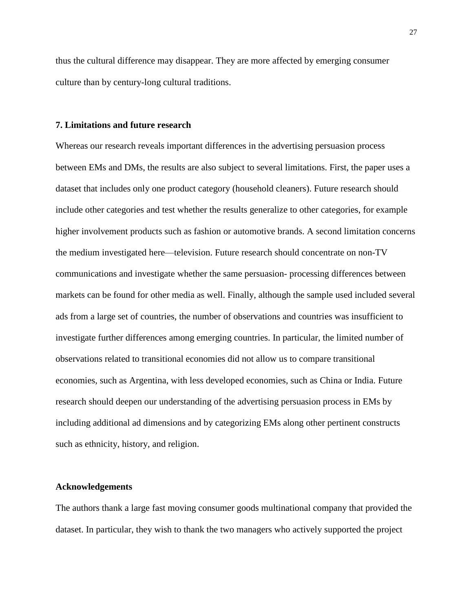thus the cultural difference may disappear. They are more affected by emerging consumer culture than by century-long cultural traditions.

#### **7. Limitations and future research**

Whereas our research reveals important differences in the advertising persuasion process between EMs and DMs, the results are also subject to several limitations. First, the paper uses a dataset that includes only one product category (household cleaners). Future research should include other categories and test whether the results generalize to other categories, for example higher involvement products such as fashion or automotive brands. A second limitation concerns the medium investigated here—television. Future research should concentrate on non-TV communications and investigate whether the same persuasion- processing differences between markets can be found for other media as well. Finally, although the sample used included several ads from a large set of countries, the number of observations and countries was insufficient to investigate further differences among emerging countries. In particular, the limited number of observations related to transitional economies did not allow us to compare transitional economies, such as Argentina, with less developed economies, such as China or India. Future research should deepen our understanding of the advertising persuasion process in EMs by including additional ad dimensions and by categorizing EMs along other pertinent constructs such as ethnicity, history, and religion.

#### **Acknowledgements**

The authors thank a large fast moving consumer goods multinational company that provided the dataset. In particular, they wish to thank the two managers who actively supported the project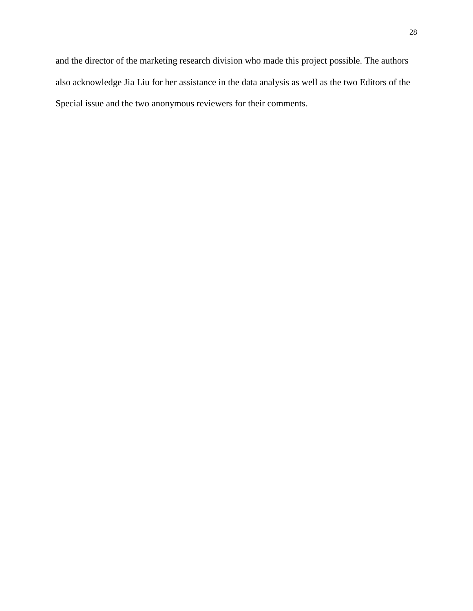and the director of the marketing research division who made this project possible. The authors also acknowledge Jia Liu for her assistance in the data analysis as well as the two Editors of the Special issue and the two anonymous reviewers for their comments.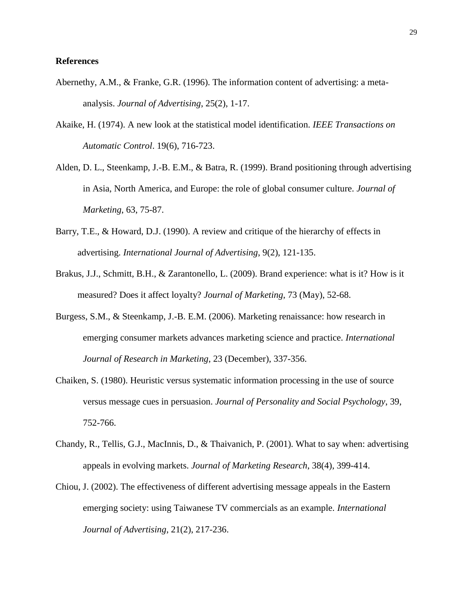#### **References**

- Abernethy, A.M., & Franke, G.R. (1996). The information content of advertising: a metaanalysis. *Journal of Advertising*, 25(2), 1-17.
- Akaike, H. (1974). A new look at the statistical model identification. *IEEE Transactions on Automatic Control*. 19(6), 716-723.
- Alden, D. L., Steenkamp, J.-B. E.M., & Batra, R. (1999). Brand positioning through advertising in Asia, North America, and Europe: the role of global consumer culture. *Journal of Marketing*, 63, 75-87.
- Barry, T.E., & Howard, D.J. (1990). A review and critique of the hierarchy of effects in advertising. *International Journal of Advertising*, 9(2), 121-135.
- Brakus, J.J., Schmitt, B.H., & Zarantonello, L. (2009). Brand experience: what is it? How is it measured? Does it affect loyalty? *Journal of Marketing*, 73 (May), 52-68.
- Burgess, S.M., & Steenkamp, J.-B. E.M. (2006). Marketing renaissance: how research in emerging consumer markets advances marketing science and practice. *International Journal of Research in Marketing*, 23 (December), 337-356.
- Chaiken, S. (1980). Heuristic versus systematic information processing in the use of source versus message cues in persuasion. *Journal of Personality and Social Psychology*, 39, 752-766.
- Chandy, R., Tellis, G.J., MacInnis, D., & Thaivanich, P. (2001). What to say when: advertising appeals in evolving markets. *Journal of Marketing Research*, 38(4), 399-414.
- Chiou, J. (2002). The effectiveness of different advertising message appeals in the Eastern emerging society: using Taiwanese TV commercials as an example. *International Journal of Advertising*, 21(2), 217-236.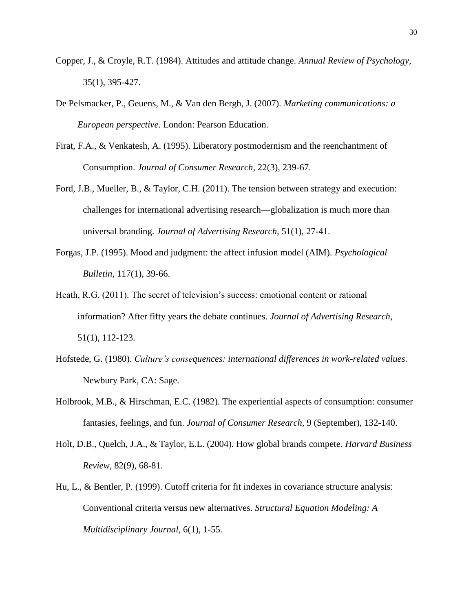- Copper, J., & Croyle, R.T. (1984). Attitudes and attitude change. *Annual Review of Psychology*, 35(1), 395-427.
- De Pelsmacker, P., Geuens, M., & Van den Bergh, J. (2007). *Marketing communications: a European perspective*. London: Pearson Education.
- Firat, F.A., & Venkatesh, A. (1995). Liberatory postmodernism and the reenchantment of Consumption. *Journal of Consumer Research*, 22(3), 239-67.
- Ford, J.B., Mueller, B., & Taylor, C.H. (2011). The tension between strategy and execution: challenges for international advertising research—globalization is much more than universal branding. *Journal of Advertising Research*, 51(1), 27-41.
- Forgas, J.P. (1995). Mood and judgment: the affect infusion model (AIM). *Psychological Bulletin*, 117(1), 39-66.
- Heath, R.G. (2011). The secret of television's success: emotional content or rational information? After fifty years the debate continues. *Journal of Advertising Research*, 51(1), 112-123.
- Hofstede, G. (1980). *Culture's consequences: international differences in work-related values*. Newbury Park, CA: Sage.
- Holbrook, M.B., & Hirschman, E.C. (1982). The experiential aspects of consumption: consumer fantasies, feelings, and fun. *Journal of Consumer Research*, 9 (September), 132-140.
- Holt, D.B., Quelch, J.A., & Taylor, E.L. (2004). How global brands compete. *Harvard Business Review*, 82(9), 68-81.
- Hu, L., & Bentler, P. (1999). Cutoff criteria for fit indexes in covariance structure analysis: Conventional criteria versus new alternatives. *Structural Equation Modeling: A Multidisciplinary Journal*, 6(1), 1-55.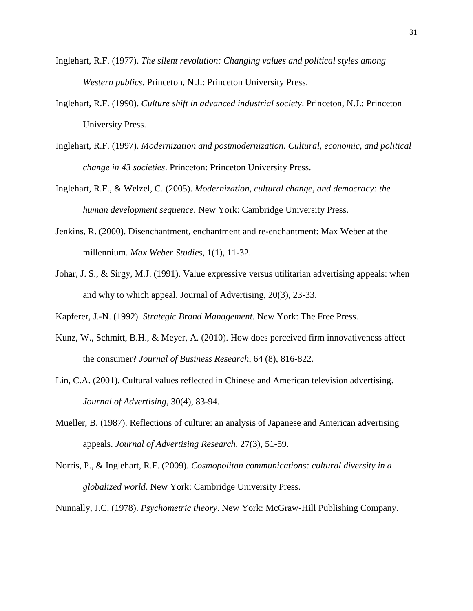- Inglehart, R.F. (1977). *The silent revolution: Changing values and political styles among Western publics*. Princeton, N.J.: Princeton University Press.
- Inglehart, R.F. (1990). *Culture shift in advanced industrial society*. Princeton, N.J.: Princeton University Press.
- Inglehart, R.F. (1997). *Modernization and postmodernization. Cultural, economic, and political change in 43 societies*. Princeton: Princeton University Press.
- Inglehart, R.F., & Welzel, C. (2005). *Modernization, cultural change, and democracy: the human development sequence*. New York: Cambridge University Press.
- Jenkins, R. (2000). Disenchantment, enchantment and re-enchantment: Max Weber at the millennium. *Max Weber Studies*, 1(1), 11-32.
- Johar, J. S., & Sirgy, M.J. (1991). Value expressive versus utilitarian advertising appeals: when and why to which appeal. Journal of Advertising, 20(3), 23-33.
- Kapferer, J.-N. (1992). *Strategic Brand Management*. New York: The Free Press.
- Kunz, W., Schmitt, B.H., & Meyer, A. (2010). How does perceived firm innovativeness affect the consumer? *Journal of Business Research*, 64 (8), 816-822*.*
- Lin, C.A. (2001). Cultural values reflected in Chinese and American television advertising. *Journal of Advertising*, 30(4), 83-94.
- Mueller, B. (1987). Reflections of culture: an analysis of Japanese and American advertising appeals. *Journal of Advertising Research*, 27(3), 51-59.
- Norris, P., & Inglehart, R.F. (2009). *Cosmopolitan communications: cultural diversity in a globalized world*. New York: Cambridge University Press.
- Nunnally, J.C. (1978). *Psychometric theory*. New York: McGraw-Hill Publishing Company.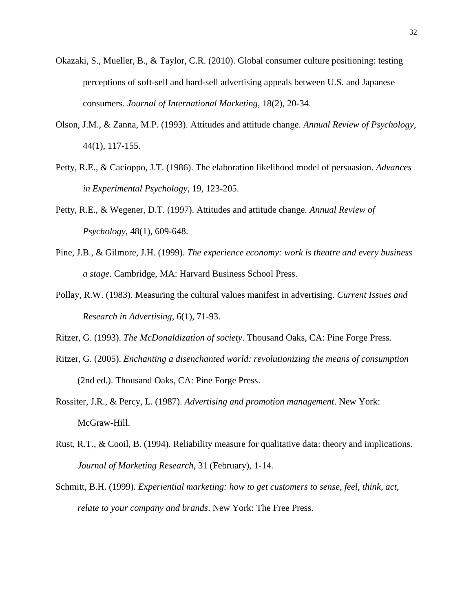- Okazaki, S., Mueller, B., & Taylor, C.R. (2010). Global consumer culture positioning: testing perceptions of soft-sell and hard-sell advertising appeals between U.S. and Japanese consumers. *Journal of International Marketing*, 18(2), 20-34.
- Olson, J.M., & Zanna, M.P. (1993). Attitudes and attitude change. *Annual Review of Psychology*, 44(1), 117-155.
- Petty, R.E., & Cacioppo, J.T. (1986). The elaboration likelihood model of persuasion. *Advances in Experimental Psychology*, 19, 123-205.
- Petty, R.E., & Wegener, D.T. (1997). Attitudes and attitude change. *Annual Review of Psychology*, 48(1), 609-648.
- Pine, J.B., & Gilmore, J.H. (1999). *The experience economy: work is theatre and every business a stage*. Cambridge, MA: Harvard Business School Press.
- Pollay, R.W. (1983). Measuring the cultural values manifest in advertising. *Current Issues and Research in Advertising*, 6(1), 71-93.
- Ritzer, G. (1993). *The McDonaldization of society*. Thousand Oaks, CA: Pine Forge Press.
- Ritzer, G. (2005). *Enchanting a disenchanted world: revolutionizing the means of consumption* (2nd ed.). Thousand Oaks, CA: Pine Forge Press.
- Rossiter, J.R., & Percy, L. (1987). *Advertising and promotion management*. New York: McGraw-Hill.
- Rust, R.T., & Cooil, B. (1994). Reliability measure for qualitative data: theory and implications. *Journal of Marketing Research*, 31 (February), 1-14.
- Schmitt, B.H. (1999). *Experiential marketing: how to get customers to sense, feel, think, act, relate to your company and brands*. New York: The Free Press.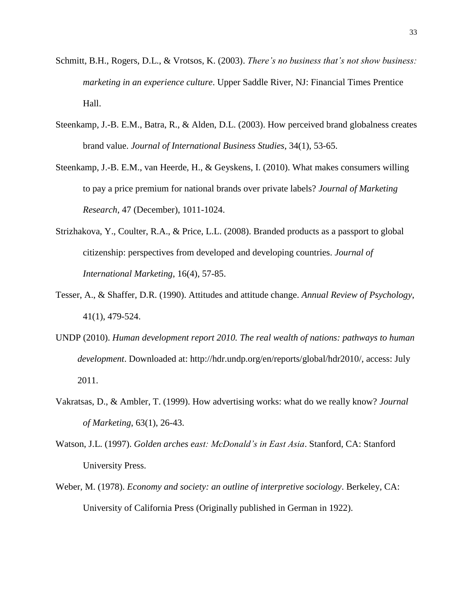- Schmitt, B.H., Rogers, D.L., & Vrotsos, K. (2003). *There's no business that's not show business: marketing in an experience culture*. Upper Saddle River, NJ: Financial Times Prentice Hall.
- Steenkamp, J.-B. E.M., Batra, R., & Alden, D.L. (2003). How perceived brand globalness creates brand value. *Journal of International Business Studies*, 34(1), 53-65.
- Steenkamp, J.-B. E.M., van Heerde, H., & Geyskens, I. (2010). What makes consumers willing to pay a price premium for national brands over private labels? *Journal of Marketing Research*, 47 (December), 1011-1024.
- Strizhakova, Y., Coulter, R.A., & Price, L.L. (2008). Branded products as a passport to global citizenship: perspectives from developed and developing countries. *Journal of International Marketing*, 16(4), 57-85.
- Tesser, A., & Shaffer, D.R. (1990). Attitudes and attitude change. *Annual Review of Psychology*, 41(1), 479-524.
- UNDP (2010). *Human development report 2010. The real wealth of nations: pathways to human development*. Downloaded at: http://hdr.undp.org/en/reports/global/hdr2010/, access: July 2011.
- Vakratsas, D., & Ambler, T. (1999). How advertising works: what do we really know? *Journal of Marketing*, 63(1), 26-43.
- Watson, J.L. (1997). *Golden arches east: McDonald's in East Asia*. Stanford, CA: Stanford University Press.
- Weber, M. (1978). *Economy and society: an outline of interpretive sociology*. Berkeley, CA: University of California Press (Originally published in German in 1922).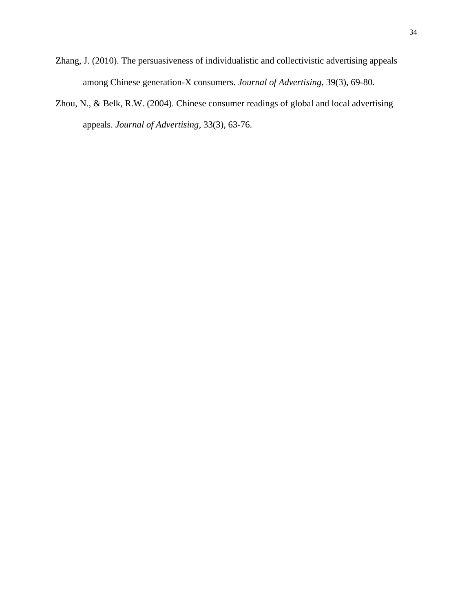- Zhang, J. (2010). The persuasiveness of individualistic and collectivistic advertising appeals among Chinese generation-X consumers. *Journal of Advertising*, 39(3), 69-80.
- Zhou, N., & Belk, R.W. (2004). Chinese consumer readings of global and local advertising appeals. *Journal of Advertising*, 33(3), 63-76.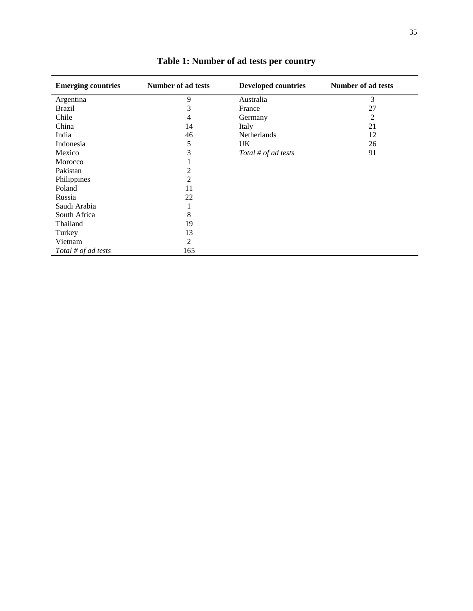| <b>Emerging countries</b> | Number of ad tests | <b>Developed countries</b> | Number of ad tests |
|---------------------------|--------------------|----------------------------|--------------------|
| Argentina                 | 9                  | Australia                  | 3                  |
| <b>Brazil</b>             | 3                  | France                     | 27                 |
| Chile                     | 4                  | Germany                    | 2                  |
| China                     | 14                 | Italy                      | 21                 |
| India                     | 46                 | Netherlands                | 12                 |
| Indonesia                 | 5                  | UK.                        | 26                 |
| Mexico                    | 3                  | Total # of ad tests        | 91                 |
| Morocco                   |                    |                            |                    |
| Pakistan                  | 2                  |                            |                    |
| Philippines               | $\overline{2}$     |                            |                    |
| Poland                    | 11                 |                            |                    |
| Russia                    | 22                 |                            |                    |
| Saudi Arabia              |                    |                            |                    |
| South Africa              | 8                  |                            |                    |
| Thailand                  | 19                 |                            |                    |
| Turkey                    | 13                 |                            |                    |
| Vietnam                   | 2                  |                            |                    |
| Total # of ad tests       | 165                |                            |                    |

**Table 1: Number of ad tests per country**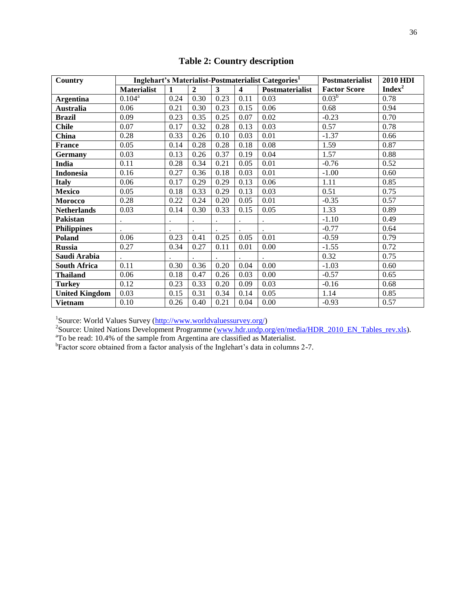| Country               | Inglehart's Materialist-Postmaterialist Categories <sup>1</sup> |      |                |      |                         | <b>Postmaterialist</b> | <b>2010 HDI</b>     |                    |
|-----------------------|-----------------------------------------------------------------|------|----------------|------|-------------------------|------------------------|---------------------|--------------------|
|                       | <b>Materialist</b>                                              | 1    | $\overline{2}$ | 3    | $\overline{\mathbf{4}}$ | Postmaterialist        | <b>Factor Score</b> | Index <sup>2</sup> |
| <b>Argentina</b>      | $0.104^{a}$                                                     | 0.24 | 0.30           | 0.23 | 0.11                    | 0.03                   | $0.03^{b}$          | 0.78               |
| <b>Australia</b>      | 0.06                                                            | 0.21 | 0.30           | 0.23 | 0.15                    | 0.06                   | 0.68                | 0.94               |
| <b>Brazil</b>         | 0.09                                                            | 0.23 | 0.35           | 0.25 | 0.07                    | 0.02                   | $-0.23$             | 0.70               |
| <b>Chile</b>          | 0.07                                                            | 0.17 | 0.32           | 0.28 | 0.13                    | 0.03                   | 0.57                | 0.78               |
| China                 | 0.28                                                            | 0.33 | 0.26           | 0.10 | 0.03                    | 0.01                   | $-1.37$             | 0.66               |
| <b>France</b>         | 0.05                                                            | 0.14 | 0.28           | 0.28 | 0.18                    | 0.08                   | 1.59                | 0.87               |
| Germany               | 0.03                                                            | 0.13 | 0.26           | 0.37 | 0.19                    | 0.04                   | 1.57                | 0.88               |
| India                 | 0.11                                                            | 0.28 | 0.34           | 0.21 | 0.05                    | 0.01                   | $-0.76$             | 0.52               |
| <b>Indonesia</b>      | 0.16                                                            | 0.27 | 0.36           | 0.18 | 0.03                    | 0.01                   | $-1.00$             | 0.60               |
| <b>Italy</b>          | 0.06                                                            | 0.17 | 0.29           | 0.29 | 0.13                    | 0.06                   | 1.11                | 0.85               |
| Mexico                | 0.05                                                            | 0.18 | 0.33           | 0.29 | 0.13                    | 0.03                   | 0.51                | 0.75               |
| <b>Morocco</b>        | 0.28                                                            | 0.22 | 0.24           | 0.20 | 0.05                    | 0.01                   | $-0.35$             | 0.57               |
| <b>Netherlands</b>    | 0.03                                                            | 0.14 | 0.30           | 0.33 | 0.15                    | 0.05                   | 1.33                | 0.89               |
| Pakistan              |                                                                 |      |                |      |                         |                        | $-1.10$             | 0.49               |
| <b>Philippines</b>    |                                                                 |      |                |      |                         |                        | $-0.77$             | 0.64               |
| Poland                | 0.06                                                            | 0.23 | 0.41           | 0.25 | 0.05                    | 0.01                   | $-0.59$             | 0.79               |
| <b>Russia</b>         | 0.27                                                            | 0.34 | 0.27           | 0.11 | 0.01                    | 0.00                   | $-1.55$             | 0.72               |
| Saudi Arabia          |                                                                 |      |                |      |                         |                        | 0.32                | 0.75               |
| <b>South Africa</b>   | 0.11                                                            | 0.30 | 0.36           | 0.20 | 0.04                    | 0.00                   | $-1.03$             | 0.60               |
| <b>Thailand</b>       | 0.06                                                            | 0.18 | 0.47           | 0.26 | 0.03                    | 0.00                   | $-0.57$             | 0.65               |
| <b>Turkey</b>         | 0.12                                                            | 0.23 | 0.33           | 0.20 | 0.09                    | 0.03                   | $-0.16$             | 0.68               |
| <b>United Kingdom</b> | 0.03                                                            | 0.15 | 0.31           | 0.34 | 0.14                    | 0.05                   | 1.14                | 0.85               |
| <b>Vietnam</b>        | 0.10                                                            | 0.26 | 0.40           | 0.21 | 0.04                    | 0.00                   | $-0.93$             | 0.57               |

**Table 2: Country description**

<sup>1</sup>Source: World Values Survey (<u>http://www.worldvaluessurvey.org/</u>)<br><sup>2</sup>Source: United Nations Development Programme (<u>www.hdr.undp.org/en/media/HDR\_2010\_EN\_Tables\_rev.xls</u>).

 ${}^{a}$ To be read: 10.4% of the sample from Argentina are classified as Materialist.<br>
<sup>b</sup>Factor score obtained from a factor analysis of the Inglehart's data in columns 2-7.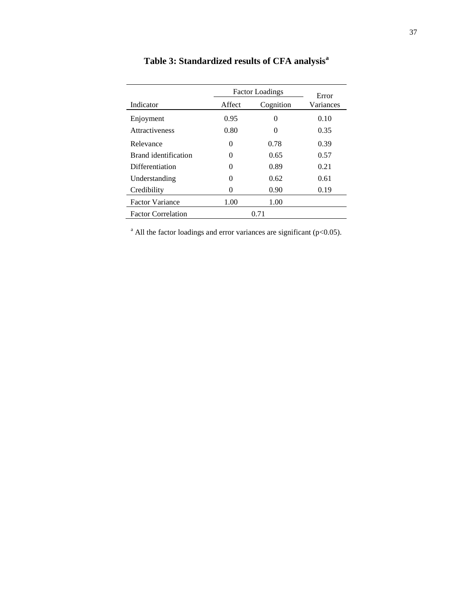|                           |          | <b>Factor Loadings</b> |                    |  |  |
|---------------------------|----------|------------------------|--------------------|--|--|
| Indicator                 | Affect   | Cognition              | Error<br>Variances |  |  |
| Enjoyment                 | 0.95     | 0                      | 0.10               |  |  |
| <b>Attractiveness</b>     | 0.80     | $\theta$               | 0.35               |  |  |
| Relevance                 | 0        | 0.78                   | 0.39               |  |  |
| Brand identification      | $\Omega$ | 0.65                   | 0.57               |  |  |
| Differentiation           | $\Omega$ | 0.89                   | 0.21               |  |  |
| Understanding             | $\theta$ | 0.62                   | 0.61               |  |  |
| Credibility               | 0        | 0.90                   | 0.19               |  |  |
| <b>Factor Variance</b>    | 1.00     | 1.00                   |                    |  |  |
| <b>Factor Correlation</b> |          | 0.71                   |                    |  |  |

**Table 3: Standardized results of CFA analysis<sup>a</sup>**

<sup>a</sup> All the factor loadings and error variances are significant (p<0.05).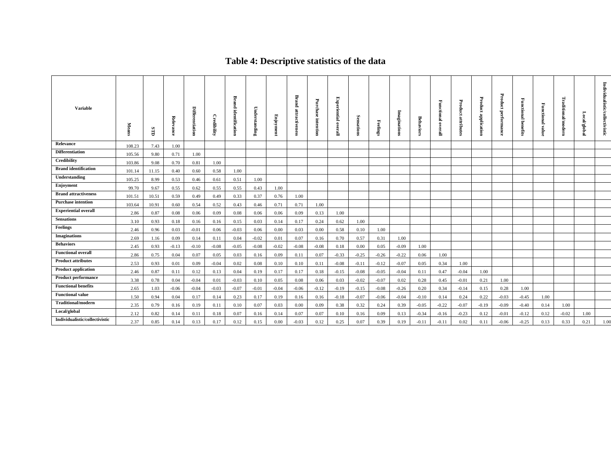# **Table 4: Descriptive statistics of the data**

| <b>Variable</b>                | <b>Means</b> | GID   | Relevance | <b>Differentiation</b> | Credibility | Brand<br>identification | Underst<br>tanding | Enjoyment | <b>Brand</b><br>attractiven | Purchase<br>intention | <b>Experiential</b><br>overa | Sensations | eelings | Imaginations | Behaviors | <b>Functional</b><br>overall | ₩<br>roduct<br>atuib<br>Ē | Product<br>application | Product<br>performance | Functional benefits | Functional<br>value | Traditional/modern | ocal/global | Individualistic/collectivistic |
|--------------------------------|--------------|-------|-----------|------------------------|-------------|-------------------------|--------------------|-----------|-----------------------------|-----------------------|------------------------------|------------|---------|--------------|-----------|------------------------------|---------------------------|------------------------|------------------------|---------------------|---------------------|--------------------|-------------|--------------------------------|
| Relevance                      | 108.23       | 7.43  | 1.00      |                        |             |                         |                    |           |                             |                       |                              |            |         |              |           |                              |                           |                        |                        |                     |                     |                    |             |                                |
| Differentiation                | 105.56       | 9.80  | 0.71      | 1.00                   |             |                         |                    |           |                             |                       |                              |            |         |              |           |                              |                           |                        |                        |                     |                     |                    |             |                                |
| Credibility                    | 103.86       | 9.08  | 0.70      | 0.81                   | 1.00        |                         |                    |           |                             |                       |                              |            |         |              |           |                              |                           |                        |                        |                     |                     |                    |             |                                |
| <b>Brand identification</b>    | 101.14       | 11.15 | 0.40      | 0.60                   | 0.58        | 1.00                    |                    |           |                             |                       |                              |            |         |              |           |                              |                           |                        |                        |                     |                     |                    |             |                                |
| Understanding                  | 105.25       | 8.99  | 0.53      | 0.46                   | 0.61        | 0.51                    | 1.00               |           |                             |                       |                              |            |         |              |           |                              |                           |                        |                        |                     |                     |                    |             |                                |
| Enjoyment                      | 99.70        | 9.67  | 0.55      | 0.62                   | 0.55        | 0.55                    | 0.43               | 1.00      |                             |                       |                              |            |         |              |           |                              |                           |                        |                        |                     |                     |                    |             |                                |
| <b>Brand attractiveness</b>    | 101.51       | 10.51 | 0.59      | 0.49                   | 0.49        | 0.33                    | 0.37               | 0.76      | 1.00                        |                       |                              |            |         |              |           |                              |                           |                        |                        |                     |                     |                    |             |                                |
| <b>Purchase intention</b>      | 103.64       | 10.91 | 0.60      | 0.54                   | 0.52        | 0.43                    | 0.46               | 0.71      | 0.71                        | 1.00                  |                              |            |         |              |           |                              |                           |                        |                        |                     |                     |                    |             |                                |
| <b>Experiential overall</b>    | 2.86         | 0.87  | 0.08      | 0.06                   | 0.09        | 0.08                    | 0.06               | 0.06      | 0.09                        | 0.13                  | 1.00                         |            |         |              |           |                              |                           |                        |                        |                     |                     |                    |             |                                |
| <b>Sensations</b>              | 3.10         | 0.93  | 0.18      | 0.16                   | 0.16        | 0.15                    | 0.03               | 0.14      | 0.17                        | 0.24                  | 0.62                         | 1.00       |         |              |           |                              |                           |                        |                        |                     |                     |                    |             |                                |
| Feelings                       | 2.46         | 0.96  | 0.03      | $-0.01$                | 0.06        | $-0.03$                 | 0.06               | 0.00      | 0.03                        | 0.00                  | 0.58                         | 0.10       | 1.00    |              |           |                              |                           |                        |                        |                     |                     |                    |             |                                |
| <b>Imaginations</b>            | 2.69         | 1.16  | 0.09      | 0.14                   | 0.11        | 0.04                    | $-0.02$            | 0.01      | 0.07                        | 0.16                  | 0.70                         | 0.57       | 0.31    | 1.00         |           |                              |                           |                        |                        |                     |                     |                    |             |                                |
| <b>Behaviors</b>               | 2.45         | 0.93  | $-0.13$   | $-0.10$                | $-0.08$     | $-0.05$                 | $-0.08$            | $-0.02$   | $-0.08$                     | $-0.08$               | 0.18                         | 0.00       | 0.05    | $-0.09$      | 1.00      |                              |                           |                        |                        |                     |                     |                    |             |                                |
| <b>Functional overall</b>      | 2.86         | 0.75  | 0.04      | 0.07                   | 0.05        | 0.03                    | 0.16               | 0.09      | 0.11                        | 0.07                  | $-0.33$                      | $-0.25$    | $-0.26$ | $-0.22$      | 0.06      | 1.00                         |                           |                        |                        |                     |                     |                    |             |                                |
| <b>Product attributes</b>      | 2.53         | 0.93  | 0.01      | 0.09                   | $-0.04$     | 0.02                    | 0.08               | 0.10      | 0.10                        | 0.11                  | $-0.08$                      | $-0.11$    | $-0.12$ | $-0.07$      | 0.05      | 0.34                         | 1.00                      |                        |                        |                     |                     |                    |             |                                |
| <b>Product application</b>     | 2.46         | 0.87  | 0.11      | 0.12                   | 0.13        | 0.04                    | 0.19               | 0.17      | 0.17                        | 0.18                  | $-0.15$                      | $-0.08$    | $-0.05$ | $-0.04$      | 0.11      | 0.47                         | $-0.04$                   | 1.00                   |                        |                     |                     |                    |             |                                |
| <b>Product performance</b>     | 3.38         | 0.78  | 0.04      | $-0.04$                | 0.01        | $-0.03$                 | 0.10               | 0.05      | 0.08                        | 0.06                  | 0.03                         | $-0.02$    | $-0.07$ | 0.02         | 0.28      | 0.45                         | $-0.01$                   | 0.21                   | 1.00                   |                     |                     |                    |             |                                |
| <b>Functional benefits</b>     | 2.65         | 1.03  | $-0.06$   | $-0.04$                | $-0.03$     | $-0.07$                 | $-0.01$            | $-0.04$   | $-0.06$                     | $-0.12$               | $-0.19$                      | $-0.15$    | $-0.08$ | $-0.26$      | 0.20      | 0.34                         | $-0.14$                   | 0.15                   | 0.28                   | 1.00                |                     |                    |             |                                |
| <b>Functional value</b>        | 1.50         | 0.94  | 0.04      | 0.17                   | 0.14        | 0.23                    | 0.17               | 0.19      | 0.16                        | 0.16                  | $-0.18$                      | $-0.07$    | $-0.06$ | $-0.04$      | $-0.10$   | 0.14                         | 0.24                      | 0.22                   | $-0.03$                | $-0.45$             | 1.00                |                    |             |                                |
| <b>Traditional/modern</b>      | 2.35         | 0.79  | 0.16      | 0.19                   | 0.11        | 0.10                    | 0.07               | 0.03      | 0.00                        | 0.09                  | 0.38                         | 0.32       | 0.24    | 0.39         | $-0.05$   | $-0.22$                      | $-0.07$                   | $-0.19$                | $-0.09$                | $-0.40$             | 0.14                | 1.00               |             |                                |
| Local/global                   | 2.12         | 0.82  | 0.14      | 0.11                   | 0.18        | 0.07                    | 0.16               | 0.14      | 0.07                        | 0.07                  | 0.10                         | 0.16       | 0.09    | 0.13         | $-0.34$   | $-0.16$                      | $-0.23$                   | 0.12                   | $-0.01$                | $-0.12$             | 0.12                | $-0.02$            | 1.00        |                                |
| Individualistic/collectivistic | 2.37         | 0.85  | 0.14      | 0.13                   | 0.17        | 0.12                    | 0.15               | 0.00      | $-0.03$                     | 0.12                  | 0.25                         | 0.07       | 0.39    | 0.19         | $-0.11$   | $-0.11$                      | 0.02                      | 0.11                   | $-0.06$                | $-0.25$             | 0.13                | 0.33               | 0.21        | 1.00                           |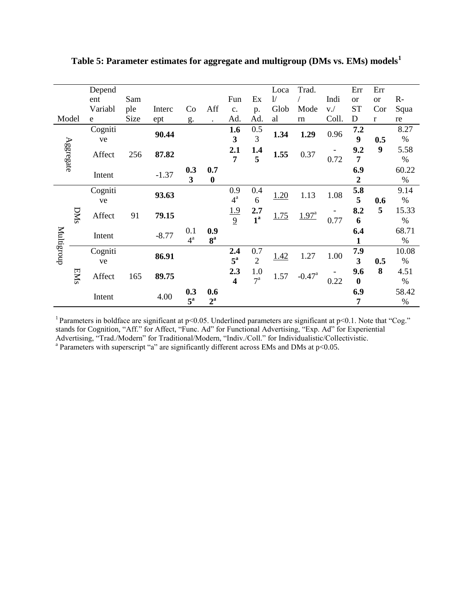|            |     | Depend  |      |         |                         |                  |                         |                  | Loca | Trad.                |       | Err              | Err           |       |
|------------|-----|---------|------|---------|-------------------------|------------------|-------------------------|------------------|------|----------------------|-------|------------------|---------------|-------|
|            |     | ent     | Sam  |         |                         |                  | Fun                     | Ex               | 1/   |                      | Indi  | <sub>or</sub>    | <sub>or</sub> | $R-$  |
|            |     | Variabl | ple  | Interc  | Co                      | Aff              | c.                      | p.               | Glob | Mode                 | V.    | <b>ST</b>        | Cor           | Squa  |
| Model      |     | e       | Size | ept     | g.                      |                  | Ad.                     | Ad.              | al   | rn                   | Coll. | D                | $\mathbf{r}$  | re    |
|            |     | Cogniti |      | 90.44   |                         |                  | 1.6                     | 0.5              | 1.34 | 1.29                 | 0.96  | 7.2              |               | 8.27  |
|            |     | ve      |      |         |                         |                  | 3                       | 3                |      |                      |       | 9                | 0.5           | $\%$  |
| Aggregate  |     | Affect  | 256  | 87.82   |                         |                  | 2.1                     | 1.4              | 1.55 | 0.37                 |       | 9.2              | 9             | 5.58  |
|            |     |         |      |         |                         |                  | 7                       | 5                |      |                      | 0.72  | $\overline{7}$   |               | $\%$  |
|            |     |         |      |         | 0.3                     | 0.7              |                         |                  |      |                      |       | 6.9              |               | 60.22 |
|            |     | Intent  |      | $-1.37$ | $\overline{\mathbf{3}}$ | $\boldsymbol{0}$ |                         |                  |      |                      |       | $\boldsymbol{2}$ |               | $\%$  |
|            |     | Cogniti |      |         |                         |                  | 0.9                     | 0.4              |      | 1.13                 |       | 5.8              |               | 9.14  |
|            |     | ve      |      | 93.63   |                         |                  | $4^{\mathrm{a}}$        | 6                | 1.20 |                      | 1.08  | 5                | 0.6           | $\%$  |
|            |     |         |      |         |                         |                  | <u>1.9</u>              | 2.7              |      |                      |       | 8.2              | 5             | 15.33 |
|            | DNS | Affect  | 91   | 79.15   |                         |                  | $\overline{9}$          | 1 <sup>a</sup>   | 1.75 | $1.97^{a}$           | 0.77  | 6                |               | $\%$  |
|            |     |         |      |         | 0.1                     | 0.9              |                         |                  |      |                      |       | 6.4              |               | 68.71 |
| Multigroup |     | Intent  |      | $-8.77$ | $4^{\mathrm{a}}$        | 8 <sup>a</sup>   |                         |                  |      |                      |       |                  |               | $\%$  |
|            |     | Cogniti |      |         |                         |                  | 2.4                     | 0.7              |      |                      |       | 7.9              |               | 10.08 |
|            |     | ve      |      | 86.91   |                         |                  | $5^{\mathrm{a}}$        | $\overline{2}$   | 1.42 | 1.27                 | 1.00  | 3                | 0.5           | $\%$  |
|            |     |         |      |         |                         |                  | 2.3                     | 1.0              |      |                      |       | 9.6              | 8             | 4.51  |
|            | EMS | Affect  | 165  | 89.75   |                         |                  | $\overline{\mathbf{4}}$ | $7^{\mathrm{a}}$ | 1.57 | $-0.47$ <sup>a</sup> | 0.22  | $\bf{0}$         |               | $\%$  |
|            |     |         |      |         | 0.3                     | 0.6              |                         |                  |      |                      |       | 6.9              |               | 58.42 |
|            |     | Intent  |      | 4.00    | $5^{\mathrm{a}}$        | $2^{\mathrm{a}}$ |                         |                  |      |                      |       | 7                |               | $\%$  |

**Table 5: Parameter estimates for aggregate and multigroup (DMs vs. EMs) models<sup>1</sup>**

<sup>1</sup> Parameters in boldface are significant at p<0.05. Underlined parameters are significant at p<0.1. Note that "Cog." stands for Cognition, "Aff." for Affect, "Func. Ad" for Functional Advertising, "Exp. Ad" for Experiential Advertising, "Trad./Modern" for Traditional/Modern, "Indiv./Coll." for Individualistic/Collectivistic. <br><sup>a</sup> Parameters with superscript "a" are significantly different across EMs and DMs at p<0.05.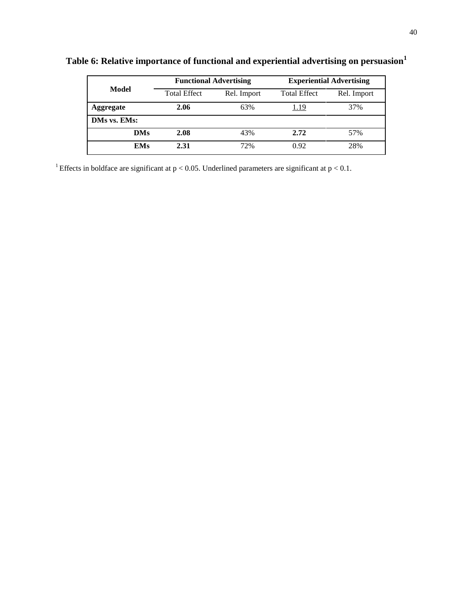|                  |                     | <b>Functional Advertising</b> | <b>Experiential Advertising</b> |             |  |  |  |
|------------------|---------------------|-------------------------------|---------------------------------|-------------|--|--|--|
| Model            | <b>Total Effect</b> | Rel. Import                   | <b>Total Effect</b>             | Rel. Import |  |  |  |
| <b>Aggregate</b> | 2.06                | 63%                           | 1.19                            | 37%         |  |  |  |
| DMs vs. EMs:     |                     |                               |                                 |             |  |  |  |
| <b>DMs</b>       | 2.08                | 43%                           | 2.72                            | 57%         |  |  |  |
| <b>EMs</b>       | 2.31                | 72%                           | 0.92                            | 28%         |  |  |  |

**Table 6: Relative importance of functional and experiential advertising on persuasion<sup>1</sup>**

<sup>1</sup> Effects in boldface are significant at  $p < 0.05$ . Underlined parameters are significant at  $p < 0.1$ .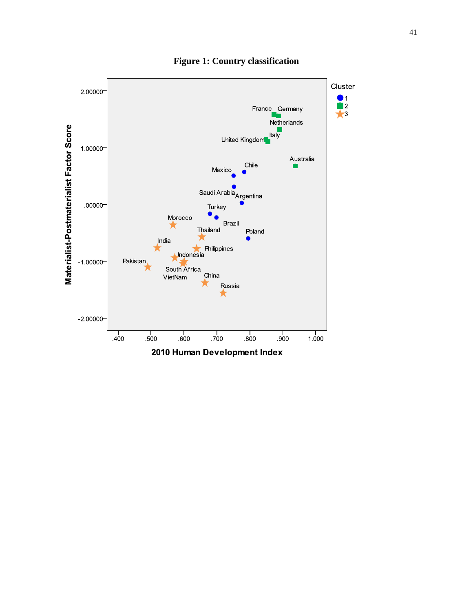

**Figure 1: Country classification**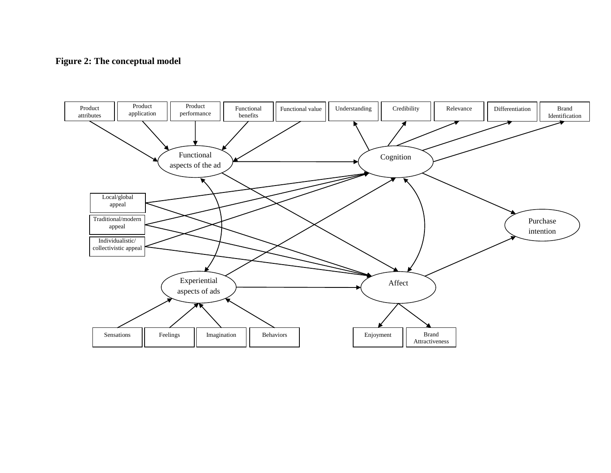# **Figure 2: The conceptual model**

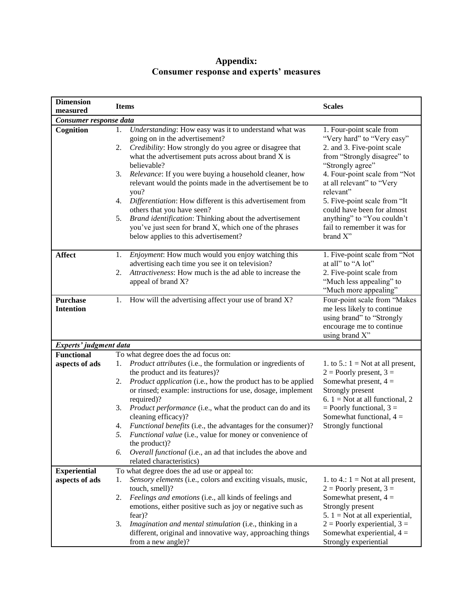| <b>Dimension</b>                    | <b>Items</b>                                                                                                                                                                                                                         | <b>Scales</b>                                                                                                                           |
|-------------------------------------|--------------------------------------------------------------------------------------------------------------------------------------------------------------------------------------------------------------------------------------|-----------------------------------------------------------------------------------------------------------------------------------------|
| measured                            |                                                                                                                                                                                                                                      |                                                                                                                                         |
| Consumer response data              |                                                                                                                                                                                                                                      |                                                                                                                                         |
| Cognition                           | Understanding: How easy was it to understand what was<br>1.<br>going on in the advertisement?<br>2.<br>Credibility: How strongly do you agree or disagree that<br>what the advertisement puts across about brand X is<br>believable? | 1. Four-point scale from<br>"Very hard" to "Very easy"<br>2. and 3. Five-point scale<br>from "Strongly disagree" to<br>"Strongly agree" |
|                                     | Relevance: If you were buying a household cleaner, how<br>3.<br>relevant would the points made in the advertisement be to<br>you?                                                                                                    | 4. Four-point scale from "Not<br>at all relevant" to "Very<br>relevant"                                                                 |
|                                     | Differentiation: How different is this advertisement from<br>4.<br>others that you have seen?                                                                                                                                        | 5. Five-point scale from "It<br>could have been for almost                                                                              |
|                                     | Brand identification: Thinking about the advertisement<br>5.<br>you've just seen for brand X, which one of the phrases<br>below applies to this advertisement?                                                                       | anything" to "You couldn't<br>fail to remember it was for<br>brand X"                                                                   |
| <b>Affect</b>                       | Enjoyment: How much would you enjoy watching this<br>1.                                                                                                                                                                              | 1. Five-point scale from "Not<br>at all" to "A lot"                                                                                     |
|                                     | advertising each time you see it on television?<br>Attractiveness: How much is the ad able to increase the<br>2.<br>appeal of brand X?                                                                                               | 2. Five-point scale from<br>"Much less appealing" to<br>"Much more appealing"                                                           |
| <b>Purchase</b><br><b>Intention</b> | 1.<br>How will the advertising affect your use of brand X?                                                                                                                                                                           | Four-point scale from "Makes<br>me less likely to continue<br>using brand" to "Strongly<br>encourage me to continue<br>using brand X"   |
| Experts' judgment data              |                                                                                                                                                                                                                                      |                                                                                                                                         |
| <b>Functional</b>                   | To what degree does the ad focus on:                                                                                                                                                                                                 |                                                                                                                                         |
| aspects of ads                      | Product attributes (i.e., the formulation or ingredients of<br>1.<br>the product and its features)?                                                                                                                                  | 1. to 5.: $1 = Not$ at all present,<br>$2 =$ Poorly present, $3 =$                                                                      |
|                                     | Product application (i.e., how the product has to be applied<br>2.<br>or rinsed; example: instructions for use, dosage, implement<br>required)?                                                                                      | Somewhat present, $4 =$<br>Strongly present<br>6. $1 = Not$ at all functional, 2                                                        |
|                                     | Product performance (i.e., what the product can do and its<br>3.                                                                                                                                                                     | $=$ Poorly functional, $3 =$                                                                                                            |
|                                     | cleaning efficacy)?<br><i>Functional benefits</i> (i.e., the advantages for the consumer)?<br>4.                                                                                                                                     | Somewhat functional, $4 =$<br>Strongly functional                                                                                       |
|                                     | 5.<br>Functional value (i.e., value for money or convenience of                                                                                                                                                                      |                                                                                                                                         |
|                                     | the product)?<br>Overall functional (i.e., an ad that includes the above and<br>6.<br>related characteristics)                                                                                                                       |                                                                                                                                         |
| <b>Experiential</b>                 | To what degree does the ad use or appeal to:                                                                                                                                                                                         |                                                                                                                                         |
| aspects of ads                      | Sensory elements (i.e., colors and exciting visuals, music,<br>1.                                                                                                                                                                    | 1. to 4.: $1 = Not$ at all present,                                                                                                     |
|                                     | touch, smell)?<br>2.<br>Feelings and emotions (i.e., all kinds of feelings and                                                                                                                                                       | $2 =$ Poorly present, $3 =$<br>Somewhat present, $4 =$                                                                                  |
|                                     | emotions, either positive such as joy or negative such as                                                                                                                                                                            | Strongly present                                                                                                                        |
|                                     | fear)?                                                                                                                                                                                                                               | 5. $1 = Not$ at all experiential,                                                                                                       |
|                                     | 3.<br>Imagination and mental stimulation (i.e., thinking in a<br>different, original and innovative way, approaching things<br>from a new angle)?                                                                                    | $2 =$ Poorly experiential, $3 =$<br>Somewhat experiential, $4 =$<br>Strongly experiential                                               |

# **Appendix: Consumer response and experts' measures**